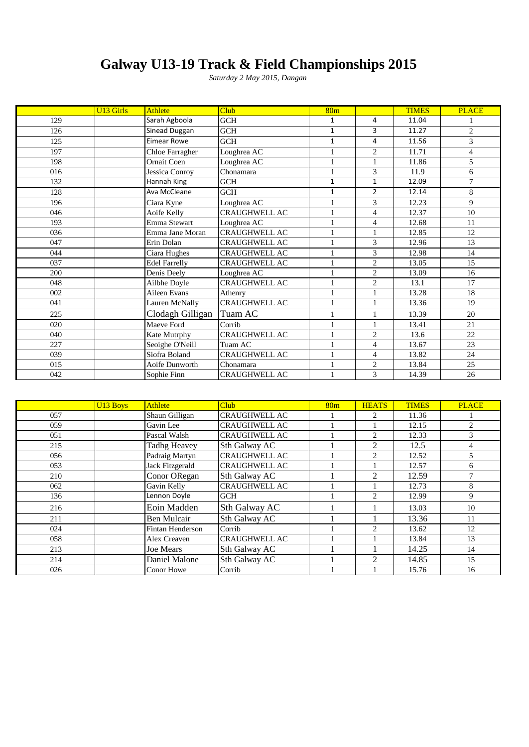# **Galway U13-19 Track & Field Championships 2015**

|     |                  |                      | Galway U13-19 Track & Field Championships 2015 |                 |                |              |                |
|-----|------------------|----------------------|------------------------------------------------|-----------------|----------------|--------------|----------------|
|     |                  |                      | Saturday 2 May 2015, Dangan                    |                 |                |              |                |
|     |                  |                      |                                                |                 |                |              |                |
|     |                  |                      |                                                |                 |                |              |                |
|     | <b>U13 Girls</b> | <b>Athlete</b>       | <b>Club</b>                                    | 80 <sub>m</sub> |                | <b>TIMES</b> | <b>PLACE</b>   |
| 129 |                  | Sarah Agboola        | <b>GCH</b>                                     | $\mathbf{1}$    | 4              | 11.04        |                |
| 126 |                  | Sinead Duggan        | GCH                                            | $\mathbf{1}$    | 3              | 11.27        | 2              |
| 125 |                  | <b>Eimear Rowe</b>   | GCH                                            | $\mathbf{1}$    | 4              | 11.56        | $\mathcal{E}$  |
| 197 |                  | Chloe Farragher      | Loughrea AC                                    | 1               | $\overline{c}$ | 11.71        | $\overline{4}$ |
| 198 |                  | Ornait Coen          | Loughrea AC                                    | 1               | 1              | 11.86        | 5              |
| 016 |                  | Jessica Conroy       | $\overline{\text{Chonamara}}$                  |                 | 3              | 11.9         | 6              |
| 132 |                  | Hannah King          | <b>GCH</b>                                     | $\mathbf{1}$    | $\mathbf{1}$   | 12.09        | $\overline{7}$ |
| 128 |                  | Ava McCleane         | <b>GCH</b>                                     | $\mathbf{1}$    | $\overline{2}$ | 12.14        | 8              |
| 196 |                  | Ciara Kyne           | Loughrea AC                                    |                 | 3              | 12.23        | 9              |
| 046 |                  | Aoife Kelly          | <b>CRAUGHWELL AC</b>                           |                 | $\overline{4}$ | 12.37        | 10             |
| 193 |                  | Emma Stewart         | Loughrea AC                                    |                 | $\overline{4}$ | 12.68        | 11             |
| 036 |                  | Emma Jane Moran      | <b>CRAUGHWELL AC</b>                           |                 | $\mathbf{1}$   | 12.85        | 12             |
| 047 |                  | Erin Dolan           | CRAUGHWELL AC                                  |                 | 3              | 12.96        | 13             |
| 044 |                  | Ciara Hughes         | <b>CRAUGHWELL AC</b>                           |                 | 3              | 12.98        | 14             |
| 037 |                  | <b>Edel Farrelly</b> | <b>CRAUGHWELL AC</b>                           |                 | $\overline{2}$ | 13.05        | 15             |
| 200 |                  | Denis Deely          | Loughrea AC                                    |                 | $\overline{c}$ | 13.09        | 16             |
| 048 |                  | Ailbhe Doyle         | <b>CRAUGHWELL AC</b>                           | 1               | 2              | 13.1         | 17             |
| 002 |                  | Aileen Evans         | Athenry                                        | 1               | $\mathbf{1}$   | 13.28        | 18             |
| 041 |                  | Lauren McNally       | <b>CRAUGHWELL AC</b>                           |                 | 1              | 13.36        | 19             |
| 225 |                  | Clodagh Gilligan     | Tuam AC                                        | 1               | 1              | 13.39        | 20             |
| 020 |                  | Maeve Ford           | Corrib                                         |                 | 1              | 13.41        | 21             |
| 040 |                  | Kate Mutrphy         | <b>CRAUGHWELL AC</b>                           |                 | $\overline{c}$ | 13.6         | 22             |
| 227 |                  | Seoighe O'Neill      | Tuam AC                                        |                 | $\overline{4}$ | 13.67        | 23             |
| 039 |                  | Siofra Boland        | <b>CRAUGHWELL AC</b>                           |                 | $\overline{4}$ | 13.82        | 24             |
| 015 |                  | Aoife Dunworth       | Chonamara                                      |                 | $\overline{2}$ | 13.84        | 25             |
| 042 |                  | Sophie Finn          | <b>CRAUGHWELL AC</b>                           |                 | 3              | 14.39        | 26             |
|     |                  |                      |                                                |                 |                |              |                |

|     | U <sub>13</sub> Boys | <b>Athlete</b>      | Club                 | 80 <sub>m</sub> | <b>HEATS</b>   | <b>TIMES</b> | <b>PLACE</b>  |
|-----|----------------------|---------------------|----------------------|-----------------|----------------|--------------|---------------|
| 057 |                      | Shaun Gilligan      | <b>CRAUGHWELL AC</b> |                 | 2              | 11.36        |               |
| 059 |                      | Gavin Lee           | <b>CRAUGHWELL AC</b> |                 |                | 12.15        | 2             |
| 051 |                      | Pascal Walsh        | <b>CRAUGHWELL AC</b> |                 | 2              | 12.33        | 3             |
| 215 |                      | <b>Tadhg Heavey</b> | Sth Galway AC        |                 | 2              | 12.5         | 4             |
| 056 |                      | Padraig Martyn      | <b>CRAUGHWELL AC</b> |                 | 2              | 12.52        | 5             |
| 053 |                      | Jack Fitzgerald     | <b>CRAUGHWELL AC</b> |                 |                | 12.57        | 6             |
| 210 |                      | Conor ORegan        | Sth Galway AC        |                 | $\mathfrak{D}$ | 12.59        | $\mathcal{I}$ |
| 062 |                      | Gavin Kelly         | <b>CRAUGHWELL AC</b> |                 |                | 12.73        | 8             |
| 136 |                      | Lennon Doyle        | <b>GCH</b>           |                 | $\mathfrak{D}$ | 12.99        | 9             |
| 216 |                      | Eoin Madden         | Sth Galway AC        |                 |                | 13.03        | 10            |
| 211 |                      | Ben Mulcair         | Sth Galway AC        |                 |                | 13.36        | 11            |
| 024 |                      | Fintan Henderson    | Corrib               |                 | $\mathfrak{D}$ | 13.62        | 12            |
| 058 |                      | Alex Creaven        | <b>CRAUGHWELL AC</b> |                 |                | 13.84        | 13            |
| 213 |                      | Joe Mears           | Sth Galway AC        |                 |                | 14.25        | 14            |
| 214 |                      | Daniel Malone       | Sth Galway AC        |                 | $\mathfrak{D}$ | 14.85        | 15            |
| 026 |                      | Conor Howe          | Corrib               |                 |                | 15.76        | 16            |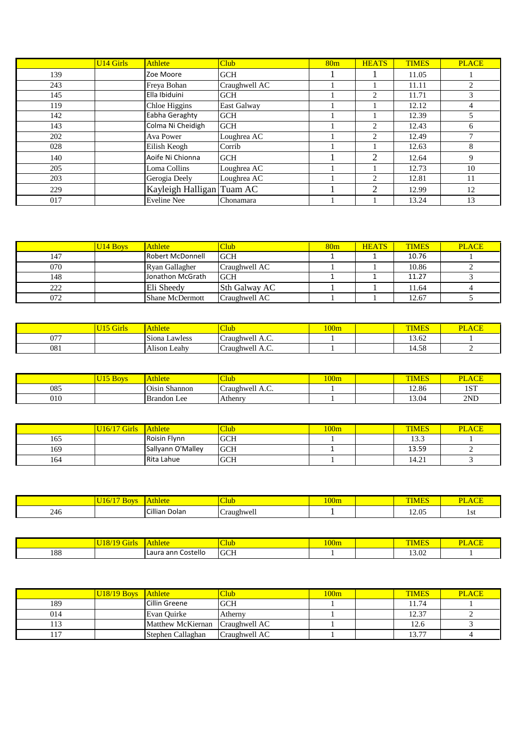|     | <b>U14 Girls</b> | <b>Athlete</b>            | Club          | 80 <sub>m</sub> | <b>HEATS</b>   | <b>TIMES</b> | <b>PLACE</b>   |
|-----|------------------|---------------------------|---------------|-----------------|----------------|--------------|----------------|
| 139 |                  | Zoe Moore                 | <b>GCH</b>    |                 |                | 11.05        |                |
| 243 |                  | Freya Bohan               | Craughwell AC |                 |                | 11.11        | 2              |
| 145 |                  | Ella Ibiduini             | <b>GCH</b>    |                 | 2              | 11.71        | 3              |
| 119 |                  | Chloe Higgins             | East Galway   |                 |                | 12.12        | $\overline{4}$ |
| 142 |                  | Eabha Geraghty            | <b>GCH</b>    |                 |                | 12.39        | 5              |
| 143 |                  | Colma Ni Cheidigh         | <b>GCH</b>    |                 | 2              | 12.43        | 6              |
| 202 |                  | Ava Power                 | Loughrea AC   |                 | 2              | 12.49        | $\tau$         |
| 028 |                  | Eilish Keogh              | Corrib        |                 |                | 12.63        | 8              |
| 140 |                  | Aoife Ni Chionna          | <b>GCH</b>    |                 | 2              | 12.64        | 9              |
| 205 |                  | Loma Collins              | Loughrea AC   |                 |                | 12.73        | 10             |
| 203 |                  | Gerogia Deely             | Loughrea AC   |                 | 2              | 12.81        | 11             |
| 229 |                  | Kayleigh Halligan Tuam AC |               |                 | $\overline{2}$ | 12.99        | 12             |
| 017 |                  | <b>Eveline Nee</b>        | Chonamara     |                 |                | 13.24        | 13             |
|     |                  |                           |               |                 |                |              |                |

| --- |                      | $\frac{1}{2}$    |               | $\overline{\phantom{a}}$ | -            |              | --           |
|-----|----------------------|------------------|---------------|--------------------------|--------------|--------------|--------------|
| 017 |                      | Eveline Nee      | Chonamara     |                          |              | 13.24        | 13           |
|     |                      |                  |               |                          |              |              |              |
|     |                      |                  |               |                          |              |              |              |
|     |                      |                  |               |                          |              |              |              |
|     |                      |                  |               |                          |              |              |              |
|     | U <sub>14</sub> Boys | <b>Athlete</b>   | Club          | 80 <sub>m</sub>          | <b>HEATS</b> | <b>TIMES</b> | <b>PLACE</b> |
| 147 |                      | Robert McDonnell | <b>GCH</b>    |                          |              | 10.76        |              |
| 070 |                      | Ryan Gallagher   | Craughwell AC |                          |              | 10.86        | ∍            |
| 148 |                      | Jonathon McGrath | <b>GCH</b>    |                          |              | 11.27        |              |
| 222 |                      | Eli Sheedy       | Sth Galway AC |                          |              | 11.64        |              |
| 072 |                      | Shane McDermott  | Craughwell AC |                          |              | 12.67        |              |

|             | <b>Simils</b> | Athlete                  | $\sim$<br>Clut                          | 100m | <b>TIME.</b>              | ~-<br>DТ<br>AUE<br>. . |
|-------------|---------------|--------------------------|-----------------------------------------|------|---------------------------|------------------------|
| $\sqrt{27}$ |               | $\sim$<br>ISiona Lawless | $\sim$<br>$\sim$<br>Craughwell A.C.     |      | $\sim$<br>$\sim$<br>13.62 |                        |
| 081         |               | .<br>Alison Leahy        | $\sim$<br>$\sqrt{2}$<br>Craughwell A.C. |      | 14.58                     | -                      |

|     | <b>U15 Boys</b>     | <b>Athlete</b>     | <b>Club</b>     | 100m | <b>TIMES</b> | <b>PLACE</b> |
|-----|---------------------|--------------------|-----------------|------|--------------|--------------|
| 085 |                     | Oisin Shannon      | Craughwell A.C. |      | 12.86        | 1ST          |
| 010 |                     | <b>Brandon</b> Lee | Athenry         |      | 13.04        | 2ND          |
|     |                     |                    |                 |      |              |              |
|     |                     |                    |                 |      |              |              |
|     | <b>U16/17 Girls</b> | <b>Athlete</b>     | <b>Club</b>     | 100m | <b>TIMES</b> | <b>PLACE</b> |
| 165 |                     | Roisin Flynn       | <b>GCH</b>      |      | 13.3         |              |

| 085 |                     | Oisin Shannon      | Craughwell A.C. |      | 12.86        | 1ST          |
|-----|---------------------|--------------------|-----------------|------|--------------|--------------|
| 010 |                     | <b>Brandon</b> Lee | Athenry         |      | 13.04        | 2ND          |
|     |                     |                    |                 |      |              |              |
|     |                     |                    |                 |      |              |              |
|     | <b>U16/17 Girls</b> | <b>Athlete</b>     | Club            | 100m | <b>TIMES</b> | <b>PLACE</b> |
| 165 |                     | Roisin Flynn       | <b>GCH</b>      |      | 13.3         |              |
| 169 |                     | Sallyann O'Malley  | <b>GCH</b>      |      | 13.59        |              |
| 164 |                     | Rita Lahue         | <b>GCH</b>      |      | 14.21        |              |

| 169 |                          | Sallyann O'Malley  | <b>GCH</b>  |      | 13.59        | ◠                  |
|-----|--------------------------|--------------------|-------------|------|--------------|--------------------|
| 164 |                          | Rita Lahue         | <b>GCH</b>  |      | 14.21        | $\mathcal{L}$<br>J |
|     |                          |                    |             |      |              |                    |
|     |                          |                    |             |      |              |                    |
|     |                          |                    |             |      |              |                    |
|     | $U16/17$ Boys            | <b>Athlete</b>     | <b>Club</b> | 100m | <b>TIMES</b> | <b>PLACE</b>       |
| 246 |                          | Cillian Dolan      | Craughwell  |      | 12.05        | 1st                |
|     |                          |                    |             |      |              |                    |
|     |                          |                    |             |      |              |                    |
|     | U <sub>18/19</sub> Girls | <b>Athlete</b>     | <b>Club</b> | 100m | <b>TIMES</b> | <b>PLACE</b>       |
| 188 |                          | Laura ann Costello | <b>GCH</b>  |      | 13.02        |                    |

|     | $ U18/19$ Girls $ $ Athlete          |                    | Club        | 100m | <b>TIMES</b> | <b>PLACE</b> |
|-----|--------------------------------------|--------------------|-------------|------|--------------|--------------|
| 188 |                                      | Laura ann Costello | <b>GCH</b>  |      | 13.02        |              |
|     |                                      |                    |             |      |              |              |
|     |                                      |                    |             |      |              |              |
|     |                                      |                    |             |      |              |              |
|     |                                      |                    |             |      |              |              |
|     | $\sqrt{\frac{U18}{19}}$ Boys Athlete |                    | <b>Club</b> | 100m | <b>TIMES</b> | <b>PLACE</b> |

|                | $U18/19$ Boys Athlete |                   | <b>Club</b>   | 100m | <b>TIMES</b> | <b>PLACE</b> |
|----------------|-----------------------|-------------------|---------------|------|--------------|--------------|
| 189            |                       | Cillin Greene     | <b>GCH</b>    |      | 11.74        |              |
| 014            |                       | Evan Ouirke       | Atherny       |      | 12.37        |              |
| $1^{\circ}$    |                       | Matthew McKiernan | Craughwell AC |      | 12.6         |              |
| 1 <sub>7</sub> |                       | Stephen Callaghan | Craughwell AC |      | 1277         |              |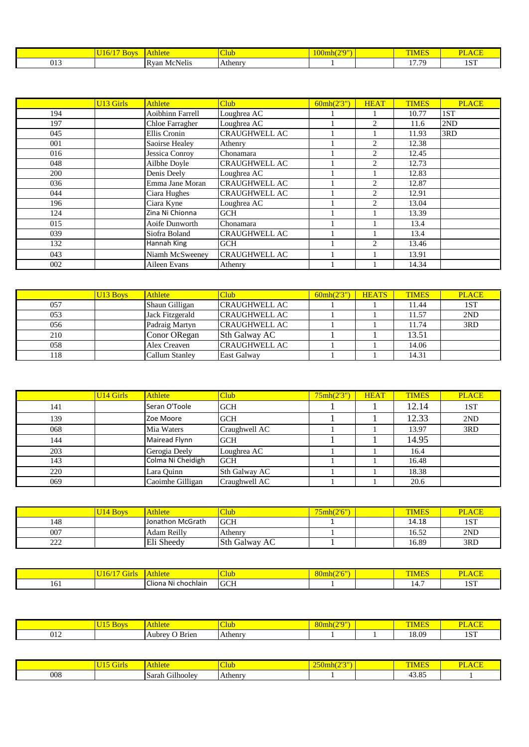|        | 50 | $-110$                         | Nut            | 10.11<br>Jmn | an a  | -            |
|--------|----|--------------------------------|----------------|--------------|-------|--------------|
| $V1 -$ |    | $\cdot$ .<br>-R van<br>'CNelis | <b>Athenry</b> |              | 17.70 | 10T<br>1 N 1 |

|     | <b>U13 Girls</b> | <b>Athlete</b>   | <b>Club</b>          | 60mh(2'3'') | <b>HEAT</b>                   | <b>TIMES</b> | <b>PLACE</b> |
|-----|------------------|------------------|----------------------|-------------|-------------------------------|--------------|--------------|
| 194 |                  | Aoibhinn Farrell | Loughrea AC          |             |                               | 10.77        | 1ST          |
| 197 |                  | Chloe Farragher  | Loughrea AC          |             | 2                             | 11.6         | 2ND          |
| 045 |                  | Ellis Cronin     | <b>CRAUGHWELL AC</b> |             |                               | 11.93        | 3RD          |
| 001 |                  | Saoirse Healey   | Athenry              |             | $\overline{c}$                | 12.38        |              |
| 016 |                  | Jessica Conroy   | Chonamara            |             | 2                             | 12.45        |              |
| 048 |                  | Ailbhe Doyle     | <b>CRAUGHWELL AC</b> |             | $\overline{c}$                | 12.73        |              |
| 200 |                  | Denis Deely      | Loughrea AC          |             |                               | 12.83        |              |
| 036 |                  | Emma Jane Moran  | <b>CRAUGHWELL AC</b> |             | 2                             | 12.87        |              |
| 044 |                  | Ciara Hughes     | <b>CRAUGHWELL AC</b> |             | 2                             | 12.91        |              |
| 196 |                  | Ciara Kyne       | Loughrea AC          |             | 2                             | 13.04        |              |
| 124 |                  | Zina Ni Chionna  | <b>GCH</b>           |             |                               | 13.39        |              |
| 015 |                  | Aoife Dunworth   | Chonamara            |             |                               | 13.4         |              |
| 039 |                  | Siofra Boland    | <b>CRAUGHWELL AC</b> |             |                               | 13.4         |              |
| 132 |                  | Hannah King      | <b>GCH</b>           |             | $\mathfrak{D}_{\mathfrak{p}}$ | 13.46        |              |
| 043 |                  | Niamh McSweeney  | <b>CRAUGHWELL AC</b> |             |                               | 13.91        |              |
| 002 |                  | Aileen Evans     | Athenry              |             |                               | 14.34        |              |

|     | U <sub>13</sub> Boys | <b>Athlete</b>  | Club                 | 60mh(2'3'') | <b>HEATS</b> | <b>TIMES</b> | <b>PLACE</b> |
|-----|----------------------|-----------------|----------------------|-------------|--------------|--------------|--------------|
| 057 |                      | Shaun Gilligan  | <b>CRAUGHWELL AC</b> |             |              | 1.44         | 1ST          |
| 053 |                      | Jack Fitzgerald | <b>CRAUGHWELL AC</b> |             |              | 11.57        | 2ND          |
| 056 |                      | Padraig Martyn  | <b>CRAUGHWELL AC</b> |             |              | 11.74        | 3RD          |
| 210 |                      | Conor ORegan    | <b>Sth Galway AC</b> |             |              | 13.51        |              |
| 058 |                      | Alex Creaven    | <b>CRAUGHWELL AC</b> |             |              | 14.06        |              |
| 118 |                      | Callum Stanley  | <b>East Galway</b>   |             |              | 14.31        |              |

| 058 |                  | Alex Creaven          | <b>CRAUGHWELL AC</b> |            |             | 14.06        |              |
|-----|------------------|-----------------------|----------------------|------------|-------------|--------------|--------------|
| 118 |                  | <b>Callum Stanley</b> | <b>East Galway</b>   |            |             | 14.31        |              |
|     |                  |                       |                      |            |             |              |              |
|     |                  |                       |                      |            |             |              |              |
|     | <b>U14 Girls</b> | <b>Athlete</b>        | Club                 | 75mh(2'3") | <b>HEAT</b> | <b>TIMES</b> | <b>PLACE</b> |
| 141 |                  | Seran O'Toole         | <b>GCH</b>           |            |             | 12.14        | 1ST          |
| 139 |                  | Zoe Moore             | <b>GCH</b>           |            |             | 12.33        | 2ND          |
| 068 |                  | Mia Waters            | Craughwell AC        |            |             | 13.97        | 3RD          |
| 144 |                  | Mairead Flynn         | <b>GCH</b>           |            |             | 14.95        |              |
| 203 |                  | Gerogia Deely         | Loughrea AC          |            |             | 16.4         |              |
| 143 |                  | Colma Ni Cheidigh     | <b>GCH</b>           |            |             | 16.48        |              |
| 220 |                  | Lara Quinn            | Sth Galway AC        |            |             | 18.38        |              |
| 069 |                  | Caoimhe Gilligan      | Craughwell AC        |            |             | 20.6         |              |
|     |                  |                       |                      |            |             |              |              |
|     |                  |                       |                      |            |             |              |              |
|     | <b>U14 Boys</b>  | <b>Athlete</b>        | <b>Club</b>          | 75mh(2'6") |             | <b>TIMES</b> | <b>PLACE</b> |
| 148 |                  | Jonathon McGrath      | <b>GCH</b>           |            |             | 14.18        | 1ST          |

|     | U <sub>14</sub> Boys   | <b>Athlete</b>      | <b>Club</b>   | 75mh(2'6")  | <b>TIMES</b> | <b>PLACE</b> |
|-----|------------------------|---------------------|---------------|-------------|--------------|--------------|
| 148 |                        | Jonathon McGrath    | <b>GCH</b>    |             | 14.18        | 1ST          |
| 007 |                        | Adam Reilly         | Athenry       |             | 16.52        | 2ND          |
| 222 |                        | Eli Sheedy          | Sth Galway AC |             | 16.89        | 3RD          |
|     |                        |                     |               |             |              |              |
|     |                        |                     |               |             |              |              |
|     | $U16/17$ Girls Athlete |                     | <b>Club</b>   | 80mh(2'6'') | <b>TIMES</b> | <b>PLACE</b> |
| 161 |                        | Cliona Ni chochlain | <b>GCH</b>    |             | 14.7         | 1ST          |

|       | تتتلك |                                                   | 4ub.                          | (0.170)<br>$\mathbf{v}$ |      | <b>Service</b><br>DТ |
|-------|-------|---------------------------------------------------|-------------------------------|-------------------------|------|----------------------|
| 1 U 1 |       | $\ddot{\phantom{0}}$<br>--<br>chochlain<br>N<br>. | <b>COLOR</b><br>$\sim$<br>uu. |                         | 1 T. | $\alpha$<br>--       |

|                                                           | $- -$ |                                        |               | 20.101 | --                                           |                    |
|-----------------------------------------------------------|-------|----------------------------------------|---------------|--------|----------------------------------------------|--------------------|
| J 1 4<br>$\sim$ $\sim$ $\sim$ $\sim$ $\sim$ $\sim$ $\sim$ |       | <b>Brien</b><br>$\cdots$ nrov $\cdots$ | Athenry.<br>∸ |        | $\alpha$<br>$\mathbf{0}.\mathbf{U}$<br>----- | 1.0T<br><u>. ~</u> |

|     | ш                              |            | $\sim$ $\sim$ $\sim$<br><b>VININ</b><br>- | .                                     | --<br>ĴТ |
|-----|--------------------------------|------------|-------------------------------------------|---------------------------------------|----------|
| 008 | .<br>∽<br>$-0.11$<br>۱۵۰<br>ðа | henry<br>P |                                           | $\sim$ $\sim$<br>$^{\circ}$<br>$+0.0$ |          |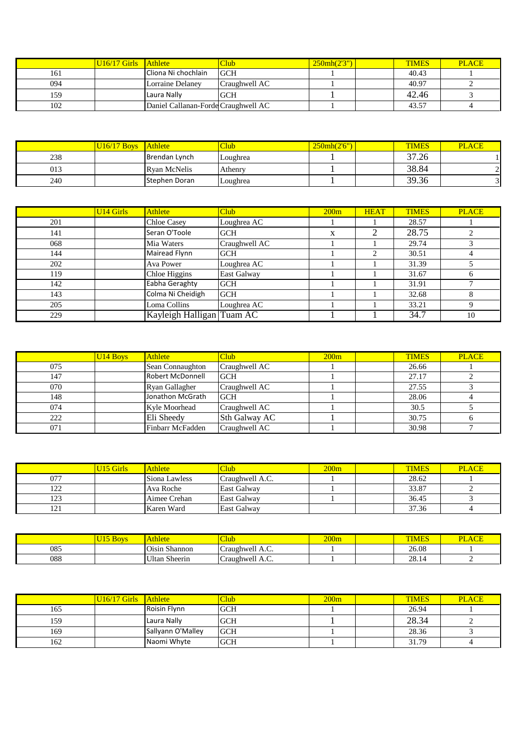|     | U <sub>16</sub> /17 Girls Athlete |                                     | <b>Club</b>   | 250mh(2'3'') | <b>TIMES</b> | <b>PLACE</b> |
|-----|-----------------------------------|-------------------------------------|---------------|--------------|--------------|--------------|
|     |                                   |                                     |               |              |              |              |
| 161 |                                   | Cliona Ni chochlain                 | <b>GCH</b>    |              | 40.43        |              |
| 094 |                                   | Lorraine Delaney                    | Craughwell AC |              | 40.97        |              |
| 159 |                                   | Laura Nally                         | <b>GCH</b>    |              | 42.46        | 2            |
| 102 |                                   | Daniel Callanan-Forde Craughwell AC |               |              | 43.57        |              |

| 159 |               | Laura Nally                         | <b>GCH</b> |              | 42.46        |              |
|-----|---------------|-------------------------------------|------------|--------------|--------------|--------------|
| 102 |               | Daniel Callanan-Forde Craughwell AC |            |              | 43.57        |              |
|     |               |                                     |            |              |              |              |
|     |               |                                     |            |              |              |              |
|     |               |                                     |            |              |              |              |
|     |               |                                     |            |              |              |              |
|     | $U16/17$ Boys | Athlete                             | Club       | 250mh(2'6'') | <b>TIMES</b> | <b>PLACE</b> |
| 238 |               | Brendan Lynch                       | Loughrea   |              | 37.26        |              |
| 013 |               | <b>Ryan McNelis</b>                 | Athenry    |              | 38.84        |              |
| 240 |               | Stephen Doran                       | Loughrea   |              | 39.36        |              |

| 013 |                  | Ryan McNells              | Athenry           |      |             | .0.04        |              |
|-----|------------------|---------------------------|-------------------|------|-------------|--------------|--------------|
| 240 |                  | Stephen Doran             | Loughrea          |      |             | 39.36        |              |
|     |                  |                           |                   |      |             |              |              |
|     | <b>U14 Girls</b> | <b>Athlete</b>            | Club <sup>1</sup> | 200m | <b>HEAT</b> | <b>TIMES</b> | <b>PLACE</b> |
| 201 |                  | <b>Chloe Casey</b>        | Loughrea AC       |      |             | 28.57        |              |
| 141 |                  | Seran O'Toole             | <b>GCH</b>        | X    | 2           | 28.75        | 2            |
| 068 |                  | Mia Waters                | Craughwell AC     |      |             | 29.74        | 3            |
| 144 |                  | Mairead Flynn             | <b>GCH</b>        |      | 2           | 30.51        | 4            |
| 202 |                  | Ava Power                 | Loughrea AC       |      |             | 31.39        | 5            |
| 119 |                  | Chloe Higgins             | East Galway       |      |             | 31.67        | 6            |
| 142 |                  | Eabha Geraghty            | <b>GCH</b>        |      |             | 31.91        | $\mathbf{r}$ |
| 143 |                  | Colma Ni Cheidigh         | <b>GCH</b>        |      |             | 32.68        | 8            |
| 205 |                  | Loma Collins              | Loughrea AC       |      |             | 33.21        | 9            |
| 229 |                  | Kayleigh Halligan Tuam AC |                   |      |             | 34.7         | 10           |

| 229 |                      | Kayleigh Halligan Tuam AC |                   |      | 34.7         | 10           |
|-----|----------------------|---------------------------|-------------------|------|--------------|--------------|
|     |                      |                           |                   |      |              |              |
|     |                      |                           |                   |      |              |              |
|     | U <sub>14</sub> Boys | <b>Athlete</b>            | Club <sup>1</sup> | 200m | <b>TIMES</b> | <b>PLACE</b> |
| 075 |                      | Sean Connaughton          | Craughwell AC     |      | 26.66        |              |
| 147 |                      | Robert McDonnell          | <b>GCH</b>        |      | 27.17        | ◠            |
| 070 |                      | Ryan Gallagher            | Craughwell AC     |      | 27.55        | 3            |
| 148 |                      | Jonathon McGrath          | <b>GCH</b>        |      | 28.06        |              |
| 074 |                      | Kyle Moorhead             | Craughwell AC     |      | 30.5         |              |
| 222 |                      | Eli Sheedy                | Sth Galway AC     |      | 30.75        | 6            |
| 071 |                      | Finbarr McFadden          | Craughwell AC     |      | 30.98        |              |

|     | <b>U15 Girls</b> | <b>Athlete</b> | <b>Club</b>     | 200m | <b>TIMES</b> | <b>PLACE</b> |
|-----|------------------|----------------|-----------------|------|--------------|--------------|
| 077 |                  | Siona Lawless  | Craughwell A.C. |      | 28.62        |              |
| 122 |                  | Ava Roche      | East Galway     |      | 33.87        |              |
| 123 |                  | Aimee Crehan   | East Galway     |      | 36.45        |              |
| 121 |                  | Karen Ward     | East Galway     |      | 37.36        |              |

|     | U <sub>15</sub> Boys   | <b>Athlete</b>       | <b>Club</b>     | 200m | <b>TIMES</b> | <b>PLACE</b> |
|-----|------------------------|----------------------|-----------------|------|--------------|--------------|
| 085 |                        | Oisin Shannon        | Craughwell A.C. |      | 26.08        |              |
| 088 |                        | <b>Ultan Sheerin</b> | Craughwell A.C. |      | 28.14        |              |
|     |                        |                      |                 |      |              |              |
|     |                        |                      |                 |      |              |              |
|     |                        |                      |                 |      |              |              |
|     |                        |                      |                 |      |              |              |
|     | $U16/17$ Girls Athlete |                      | Club            | 200m | <b>TIMES</b> | <b>PLACE</b> |

| 088 |                           | Ultan Sheerin     | Craughwell A.C. |      | 28.14        |              |
|-----|---------------------------|-------------------|-----------------|------|--------------|--------------|
|     |                           |                   |                 |      |              |              |
|     |                           |                   |                 |      |              |              |
|     |                           |                   |                 |      |              |              |
|     | U <sub>16</sub> /17 Girls | Athlete           | Club            | 200m | <b>TIMES</b> | <b>PLACE</b> |
| 165 |                           | Roisin Flynn      | <b>GCH</b>      |      | 26.94        |              |
| 159 |                           | Laura Nally       | <b>GCH</b>      |      | 28.34        |              |
| 169 |                           | Sallyann O'Malley | <b>GCH</b>      |      | 28.36        |              |
| 162 |                           | Naomi Whyte       | <b>GCH</b>      |      | 31.79        |              |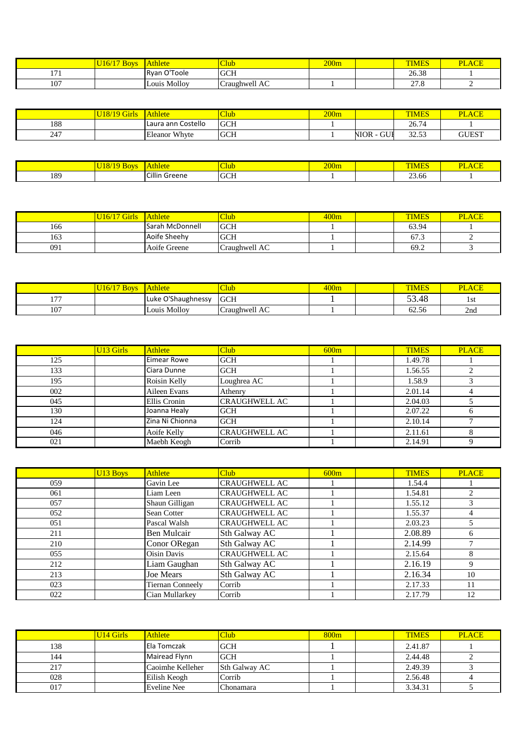|     | <b>U16/17 Boys</b> | Athlete      | <b>Club</b>   | 200m | <b>TIMES</b> | <b>PLACE</b>  |
|-----|--------------------|--------------|---------------|------|--------------|---------------|
| 171 |                    | Ryan O'Toole | <b>GCH</b>    |      | 26.38        |               |
| 107 |                    | Louis Molloy | Craughwell AC |      | 27.8         | $\mathcal{L}$ |

|     | <b>U18/19 Girls</b> | <b>Athlete</b>       | Club        | 200m |            | <b>TIMES</b> | <b>PLACE</b> |
|-----|---------------------|----------------------|-------------|------|------------|--------------|--------------|
| 188 |                     | Laura ann Costello   | <b>GCH</b>  |      |            | 26.74        |              |
| 247 |                     | <b>Eleanor Whyte</b> | <b>GCH</b>  |      | NIOR - GUI | 32.53        | <b>GUEST</b> |
|     |                     |                      |             |      |            |              |              |
|     |                     |                      |             |      |            |              |              |
|     | $U18/19$ Boys       | <b>Athlete</b>       | <b>Club</b> | 200m |            | <b>TIMES</b> | <b>PLACE</b> |
| 189 |                     | Cillin Greene        | <b>GCH</b>  |      |            | 23.66        |              |

|     | $ U18/19$ Boys Athlete |                 | <b>Club</b> | 200m | <b>TIMES</b> | <b>PLACE</b> |
|-----|------------------------|-----------------|-------------|------|--------------|--------------|
| 189 |                        | Cillin Greene   | <b>GCH</b>  |      | 23.66        |              |
|     |                        |                 |             |      |              |              |
|     |                        |                 |             |      |              |              |
|     |                        |                 |             |      |              |              |
|     | $U16/17$ Girls Athlete |                 | <b>Club</b> | 400m | <b>TIMES</b> | <b>PLACE</b> |
| 166 |                        | Sarah McDonnell | <b>GCH</b>  |      | 63.94        |              |

| 189 |                        | Cillin Greene   | <b>GCH</b>    |      | 23.66        |              |
|-----|------------------------|-----------------|---------------|------|--------------|--------------|
|     |                        |                 |               |      |              |              |
|     |                        |                 |               |      |              |              |
|     |                        |                 |               |      |              |              |
|     | $U16/17$ Girls Athlete |                 | <b>Club</b>   | 400m | <b>TIMES</b> | <b>PLACE</b> |
| 166 |                        | Sarah McDonnell | <b>GCH</b>    |      | 63.94        |              |
| 163 |                        | Aoife Sheehy    | <b>GCH</b>    |      | 67.3         |              |
| 091 |                        | Aoife Greene    | Craughwell AC |      | 69.2         |              |

| 163 |                          | Aoife Sheehy       | <b>GCH</b>        |      | 67.3         | 2            |
|-----|--------------------------|--------------------|-------------------|------|--------------|--------------|
| 091 |                          | Aoife Greene       | Craughwell AC     |      | 69.2         | 3            |
|     |                          |                    |                   |      |              |              |
|     |                          |                    |                   |      |              |              |
|     |                          |                    |                   |      |              |              |
|     | $\overline{U16/17}$ Boys | Athlete            | Club <sup>1</sup> | 400m | <b>TIMES</b> | <b>PLACE</b> |
| 177 |                          | Luke O'Shaughnessy | <b>GCH</b>        |      | 53.48        | 1st          |
| 107 |                          | Louis Molloy       | Craughwell AC     |      | 62.56        | 2nd          |
|     |                          |                    |                   |      |              |              |
|     |                          |                    |                   |      |              |              |
|     |                          |                    |                   |      |              |              |
|     | U <sub>13</sub> Girls    | Athlete            | Club <sup>1</sup> | 600m | <b>TIMES</b> | <b>PLACE</b> |
|     |                          |                    |                   |      |              |              |

| 107 |                       | Louis Molloy    | Craughwell AC        |      | 62.56        | 2nd          |
|-----|-----------------------|-----------------|----------------------|------|--------------|--------------|
|     |                       |                 |                      |      |              |              |
|     |                       |                 |                      |      |              |              |
|     | U <sub>13</sub> Girls | <b>Athlete</b>  | Club <sup>1</sup>    | 600m | <b>TIMES</b> | <b>PLACE</b> |
| 125 |                       | Eimear Rowe     | <b>GCH</b>           |      | 1.49.78      |              |
| 133 |                       | Ciara Dunne     | <b>GCH</b>           |      | 1.56.55      | 2            |
| 195 |                       | Roisin Kelly    | Loughrea AC          |      | 1.58.9       | 3            |
| 002 |                       | Aileen Evans    | Athenry              |      | 2.01.14      | 4            |
| 045 |                       | Ellis Cronin    | <b>CRAUGHWELL AC</b> |      | 2.04.03      | 5            |
| 130 |                       | Joanna Healy    | <b>GCH</b>           |      | 2.07.22      | 6            |
| 124 |                       | Zina Ni Chionna | <b>GCH</b>           |      | 2.10.14      | 7            |
| 046 |                       | Aoife Kelly     | <b>CRAUGHWELL AC</b> |      | 2.11.61      | 8            |
| 021 |                       | Maebh Keogh     | Corrib               |      | 2.14.91      | 9            |

|     | U <sub>13</sub> Boys | <b>Athlete</b>   | <b>Club</b>          | 600m | <b>TIMES</b> | <b>PLACE</b>   |
|-----|----------------------|------------------|----------------------|------|--------------|----------------|
| 059 |                      | Gavin Lee        | <b>CRAUGHWELL AC</b> |      | 1.54.4       |                |
| 061 |                      | Liam Leen        | <b>CRAUGHWELL AC</b> |      | 1.54.81      | $\mathfrak{D}$ |
| 057 |                      | Shaun Gilligan   | <b>CRAUGHWELL AC</b> |      | 1.55.12      | 3              |
| 052 |                      | Sean Cotter      | <b>CRAUGHWELL AC</b> |      | 1.55.37      |                |
| 051 |                      | Pascal Walsh     | <b>CRAUGHWELL AC</b> |      | 2.03.23      |                |
| 211 |                      | Ben Mulcair      | Sth Galway AC        |      | 2.08.89      | 6              |
| 210 |                      | Conor ORegan     | Sth Galway AC        |      | 2.14.99      |                |
| 055 |                      | Oisin Davis      | <b>CRAUGHWELL AC</b> |      | 2.15.64      | 8              |
| 212 |                      | Liam Gaughan     | Sth Galway AC        |      | 2.16.19      | 9              |
| 213 |                      | Joe Mears        | Sth Galway AC        |      | 2.16.34      | 10             |
| 023 |                      | Tiernan Conneely | Corrib               |      | 2.17.33      | 11             |
| 022 |                      | Cian Mullarkey   | Corrib               |      | 2.17.79      | 12             |

|                       | <b>Tiernan Conneely</b> | Corrib             |                  | 2.17.33      | 11           |
|-----------------------|-------------------------|--------------------|------------------|--------------|--------------|
|                       | Cian Mullarkey          | Corrib             |                  | 2.17.79      | 12           |
|                       |                         |                    |                  |              |              |
|                       |                         |                    |                  |              |              |
|                       |                         |                    |                  |              |              |
| U <sub>14</sub> Girls | <b>Athlete</b>          | Club <sup>1</sup>  | 800 <sub>m</sub> | <b>TIMES</b> | <b>PLACE</b> |
|                       | Ela Tomczak             | <b>GCH</b>         |                  | 2.41.87      |              |
|                       | Mairead Flynn           | <b>GCH</b>         |                  | 2.44.48      |              |
|                       | Caoimhe Kelleher        | Sth Galway AC      |                  | 2.49.39      |              |
|                       | Eilish Keogh            | Corrib             |                  | 2.56.48      |              |
|                       |                         | Chonamara          |                  |              |              |
|                       |                         | <b>Eveline Nee</b> |                  |              | 3.34.31      |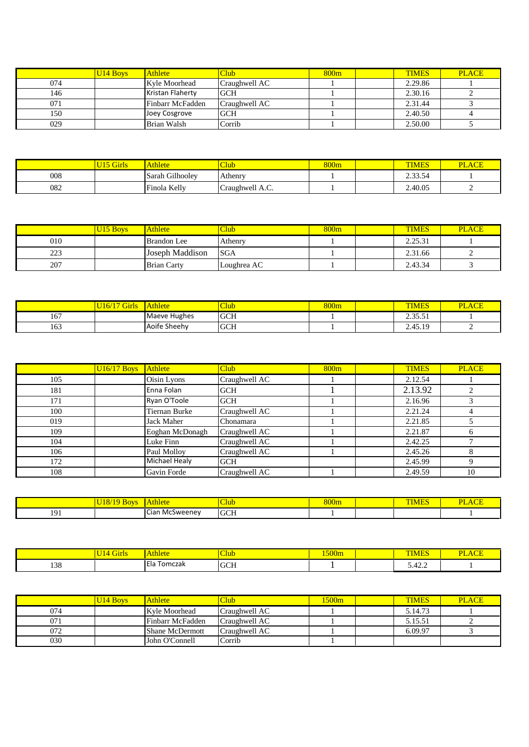|     | U <sub>14</sub> Boys | <b>Athlete</b>   | <b>Club</b>   | 800 <sub>m</sub> | <b>TIMES</b> | <b>PLACE</b> |
|-----|----------------------|------------------|---------------|------------------|--------------|--------------|
| 074 |                      | Kyle Moorhead    | Craughwell AC |                  | 2.29.86      |              |
| 146 |                      | Kristan Flaherty | <b>GCH</b>    |                  | 2.30.16      | ◠            |
| 071 |                      | Finbarr McFadden | Craughwell AC |                  | 2.31.44      | 3            |
| 150 |                      | Joey Cosgrove    | <b>GCH</b>    |                  | 2.40.50      | 4            |
| 029 |                      | Brian Walsh      | Corrib        |                  | 2.50.00      |              |

|     | <b>W. W. A.</b><br>UГ | Athlete                      | <b>Thub</b>     | 800 <sub>m</sub> | <b>TIME.</b><br>$\sqrt{10}$    | $\overline{\phantom{a}}$<br>DТ<br>AUL |
|-----|-----------------------|------------------------------|-----------------|------------------|--------------------------------|---------------------------------------|
| 008 |                       | Gilhoolev<br>$\sim$<br>Sarah | <b>Athenry</b>  |                  | $\sim$ $\sim$<br>∽<br>و. ق ق م |                                       |
| 082 |                       | Finola Kelly<br>$\sim$       | Craughwell A.C. |                  | 2.40.05                        | -                                     |

|     | U <sub>15</sub> Boys | <b>Athlete</b>     | <b>Club</b> | 800 <sub>m</sub> | <b>TIMES</b> | <b>PLACE</b> |
|-----|----------------------|--------------------|-------------|------------------|--------------|--------------|
| 010 |                      | <b>Brandon</b> Lee | Athenry     |                  | 2.25.31      |              |
| 223 |                      | Joseph Maddison    | <b>SGA</b>  |                  | 2.31.66      |              |
| 207 |                      | <b>Brian Carty</b> | Loughrea AC |                  | 2.43.34      |              |

| 223 |                        | Joseph Maddison    | <b>SGA</b>       |                  | 2.31.66      |              |
|-----|------------------------|--------------------|------------------|------------------|--------------|--------------|
| 207 |                        | <b>Brian Carty</b> | Loughrea AC      |                  | 2.43.34      |              |
|     |                        |                    |                  |                  |              |              |
|     |                        |                    |                  |                  |              |              |
|     |                        |                    |                  |                  |              |              |
|     | $U16/17$ Girls Athlete |                    | Club <sub></sub> | 800 <sub>m</sub> | <b>TIMES</b> | <b>PLACE</b> |
| 167 |                        | Maeve Hughes       | <b>GCH</b>       |                  | 2.35.51      |              |
|     |                        | Aoife Sheehy       | <b>GCH</b>       |                  | 2.45.19      |              |

| 163. |                    | <b>AOITE SHEEM</b>   | <b>UCH</b>        |                  | 2.45.19      | $\mathbb{Z}$   |
|------|--------------------|----------------------|-------------------|------------------|--------------|----------------|
|      |                    |                      |                   |                  |              |                |
|      |                    |                      |                   |                  |              |                |
|      |                    |                      |                   |                  |              |                |
|      | <b>U16/17 Boys</b> | <b>Athlete</b>       | Club              | 800m             | <b>TIMES</b> | <b>PLACE</b>   |
| 105  |                    | Oisin Lyons          | Craughwell AC     |                  | 2.12.54      |                |
| 181  |                    | Enna Folan           | <b>GCH</b>        |                  | 2.13.92      | 2              |
| 171  |                    | Ryan O'Toole         | <b>GCH</b>        |                  | 2.16.96      | 3              |
| 100  |                    | <b>Tiernan Burke</b> | Craughwell AC     |                  | 2.21.24      | $\overline{4}$ |
| 019  |                    | Jack Maher           | Chonamara         |                  | 2.21.85      | 5              |
| 109  |                    | Eoghan McDonagh      | Craughwell AC     |                  | 2.21.87      | 6              |
| 104  |                    | Luke Finn            | Craughwell AC     |                  | 2.42.25      | $\mathcal{I}$  |
| 106  |                    | Paul Molloy          | Craughwell AC     |                  | 2.45.26      | 8              |
| 172  |                    | Michael Healy        | <b>GCH</b>        |                  | 2.45.99      | 9              |
| 108  |                    | Gavin Forde          | Craughwell AC     |                  | 2.49.59      | 10             |
|      |                    |                      |                   |                  |              |                |
|      |                    |                      |                   |                  |              |                |
|      | <b>U18/19 Boys</b> | Athlete              | Club <sup>1</sup> | 800 <sub>m</sub> | <b>TIMES</b> | <b>PLACE</b>   |
| 191  |                    | Cian McSweeney       | <b>GCH</b>        |                  |              |                |

|                      | $- -$<br>30V | Athlete                       | $\sigma$<br>lub     | $\Omega$<br>suum | <b><i>Change States</i></b><br><b>PERMIT</b> | <b>Service</b><br>DT<br>$\overline{\phantom{a}}$ |
|----------------------|--------------|-------------------------------|---------------------|------------------|----------------------------------------------|--------------------------------------------------|
| $\Omega$<br>$\cdots$ |              | $\sim$<br>. McSweenev<br>Cian | <b>GCH</b><br>$  -$ |                  |                                              |                                                  |

|     | $ U18/19$ Boys $ $ Athlete |                | <b>Club</b> | 800m  | <b>TIMES</b> | <b>PLACE</b> |
|-----|----------------------------|----------------|-------------|-------|--------------|--------------|
| 191 |                            | Cian McSweeney | <b>GCH</b>  |       |              |              |
|     |                            |                |             |       |              |              |
|     |                            |                |             |       |              |              |
|     |                            |                |             |       |              |              |
|     |                            |                |             |       |              |              |
|     | U <sub>14</sub> Girls      | <b>Athlete</b> | <b>Club</b> | 1500m | <b>TIMES</b> | <b>PLACE</b> |

|     | U <sub>14</sub> Boys | <b>Athlete</b>   | <b>Club</b>   | 1500m | <b>TIMES</b> | <b>PLACE</b> |
|-----|----------------------|------------------|---------------|-------|--------------|--------------|
| 074 |                      | Kyle Moorhead    | Craughwell AC |       | 5.14.73      |              |
| 071 |                      | Finbarr McFadden | Craughwell AC |       | 5.15.51      |              |
| 072 |                      | Shane McDermott  | Craughwell AC |       | 6.09.97      |              |
| 030 |                      | John O'Connell   | Corrib        |       |              |              |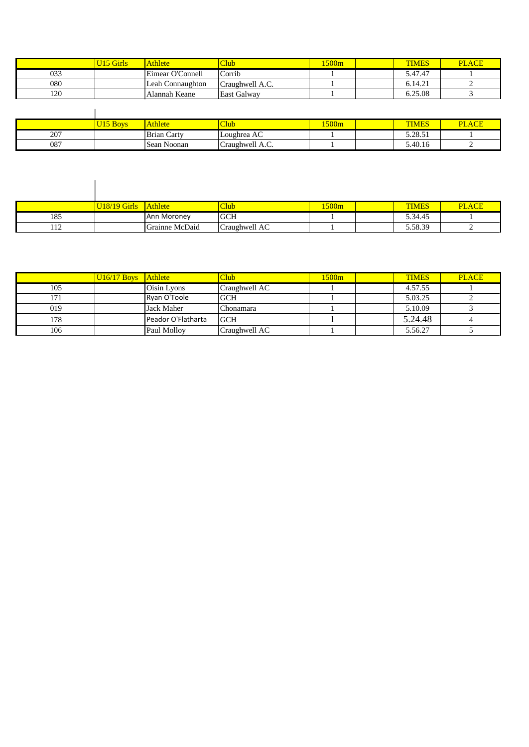|     | Girls | <b>Athlete</b>   | <b>Club</b>      | 500m | <b>TIMES</b>                    | LACE<br>РI |
|-----|-------|------------------|------------------|------|---------------------------------|------------|
| 033 |       | Eimear O'Connell | Corrib<br>$\sim$ |      | 5.47.47                         |            |
| 080 |       | Leah Connaughton | Craughwell A.C.  |      | $\Lambda$ $\Lambda$ 1<br>6.14.2 |            |
| 120 |       | Alannah Keane    | East Galway      |      | 6.25.08                         |            |

|     | UI5B<br><b>Boys</b> | Athlete            | <b>Club</b>                   | 1500m | <b>TIMES</b>     | $\sqrt{ }$<br>DТ<br>'LAUE |
|-----|---------------------|--------------------|-------------------------------|-------|------------------|---------------------------|
| 207 |                     | <b>Brian Carty</b> | $\sqrt{2}$<br>Loughrea AC     |       | 50051<br>3.20.31 |                           |
| 087 |                     | Sean Noonan        | $\sqrt{ }$<br>Craughwell A.C. |       | 5.40.16          |                           |

|     | <b>U18/19 Girls</b> | Athlete        | <b>Club</b>   | 1500m | <b>TIMES</b> | <b>PLACE</b> |
|-----|---------------------|----------------|---------------|-------|--------------|--------------|
|     |                     |                |               |       |              |              |
| 185 |                     | Ann Moroney    | <b>GCH</b>    |       | 5.34.45      |              |
| 112 |                     | Grainne McDaid | Craughwell AC |       | 5.58.39      |              |

|     | $U16/17$ Boys | Athlete            | Club <sup>1</sup> | 1500m | <b>TIMES</b> | <b>PLACE</b> |
|-----|---------------|--------------------|-------------------|-------|--------------|--------------|
| 105 |               | Oisin Lyons        | Craughwell AC     |       | 4.57.55      |              |
| 171 |               | Ryan O'Toole       | <b>GCH</b>        |       | 5.03.25      | $\bigcap$    |
| 019 |               | Jack Maher         | Chonamara         |       | 5.10.09      |              |
| 178 |               | Peador O'Flatharta | <b>GCH</b>        |       | 5.24.48      |              |
| 106 |               | Paul Molloy        | Craughwell AC     |       | 5.56.27      |              |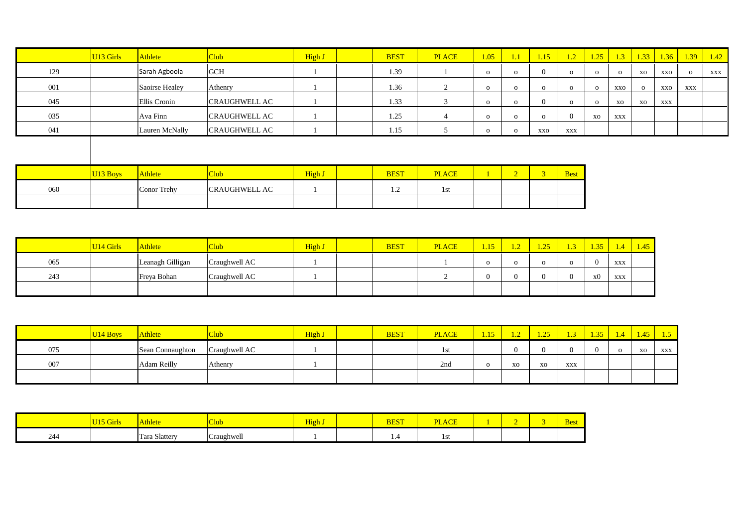|     | U <sub>13</sub> Girls | Athlete        | Club <sup>1</sup>    | High J | <b>BEST</b> | <b>PLACE</b>   | 1.05         | 1.1            | 1.15           | 1.2         | 1.25         | 1.3      |          | $1.33$ 1.36 |          | $1.39$ $1.42$ |
|-----|-----------------------|----------------|----------------------|--------|-------------|----------------|--------------|----------------|----------------|-------------|--------------|----------|----------|-------------|----------|---------------|
| 129 |                       | Sarah Agboola  | <b>GCH</b>           |        | 1.39        |                | $\mathbf{o}$ | $\Omega$       | $\Omega$       | $\Omega$    | $\mathbf{O}$ | $\Omega$ | XO       | XXO         | $\Omega$ | XXX           |
| 001 |                       | Saoirse Healey | Athenry              |        | 1.36        | 2              | $\mathbf{o}$ | $\Omega$       | $\Omega$       | $\Omega$    | $\mathbf{o}$ | XXO      | $\Omega$ | XXO         | XXX      |               |
| 045 |                       | Ellis Cronin   | <b>CRAUGHWELL AC</b> |        | 1.33        | 3              | $\mathbf{o}$ | $\Omega$       | $\Omega$       | $\Omega$    | $\mathbf{O}$ | XO       | XO       | <b>XXX</b>  |          |               |
| 035 |                       | Ava Finn       | <b>CRAUGHWELL AC</b> |        | 1.25        | $\overline{4}$ | $\mathbf{o}$ | $\Omega$       | $\Omega$       |             | XO           | XXX      |          |             |          |               |
| 041 |                       | Lauren McNally | <b>CRAUGHWELL AC</b> |        | 1.15        | $\mathcal{D}$  | $\mathbf{o}$ | $\Omega$       | XXO            | XXX         |              |          |          |             |          |               |
|     |                       |                |                      |        |             |                |              |                |                |             |              |          |          |             |          |               |
|     |                       |                |                      |        |             |                |              |                |                |             |              |          |          |             |          |               |
|     | U <sub>13</sub> Boys  | Athlete        | Club <sup>1</sup>    | High J | <b>BEST</b> | <b>PLACE</b>   |              | $\overline{2}$ | 3 <sup>1</sup> | <b>Best</b> |              |          |          |             |          |               |
| 060 |                       | Conor Trehy    | <b>CRAUGHWELL AC</b> |        | 1.2         | 1st            |              |                |                |             |              |          |          |             |          |               |
|     |                       |                |                      |        |             |                |              |                |                |             |              |          |          |             |          |               |

|     | U <sub>14</sub> Girls | <b>Athlete</b>   |               | High J | <b>BEST</b> | <b>PLACE</b> | 1.15 | . . <u>.</u> | 1.25' | $\overline{1.3}$ | $\sqrt{.35/}$ | 1.4 <sub>l</sub> | 1.45 |
|-----|-----------------------|------------------|---------------|--------|-------------|--------------|------|--------------|-------|------------------|---------------|------------------|------|
| 065 |                       | Leanagh Gilligan | Craughwell AC |        |             |              |      |              |       |                  |               | XXX              |      |
| 243 |                       | Freya Bohan      | Craughwell AC |        |             |              |      |              |       |                  | x0            | XXX              |      |
|     |                       |                  |               |        |             |              |      |              |       |                  |               |                  |      |

|     | U <sub>14</sub> Boys | Athlete          | Jub.          | High J | <b>BEST</b> | <b>PLACE</b> | 1.15 |    | 1.25 | $\mathbf{1}$ | 125h | 1.45' |     |
|-----|----------------------|------------------|---------------|--------|-------------|--------------|------|----|------|--------------|------|-------|-----|
| 075 |                      | Sean Connaughton | Craughwell AC |        |             | l St         |      |    |      |              |      | XO    | XXX |
| 007 |                      | Adam Reilly      | Athenry       |        |             | 2nd          |      | XO | XO   | XXX          |      |       |     |
|     |                      |                  |               |        |             |              |      |    |      |              |      |       |     |

|      | $TT1Z$ $C1$<br><b>UILIS</b> | <b>TITILE</b>             | $\sim$<br>$\triangle$ lub $\triangle$ | High . | <b>BEST</b> | $\sqrt{ }$<br>DТ<br><u>LAUL</u> |  | <b>Best</b> |
|------|-----------------------------|---------------------------|---------------------------------------|--------|-------------|---------------------------------|--|-------------|
| -244 |                             | $\sim$ 1<br>Tara Slattery | $\mathbf{u}$<br>Craughwell            |        | $\cdot$     | 1 S U                           |  |             |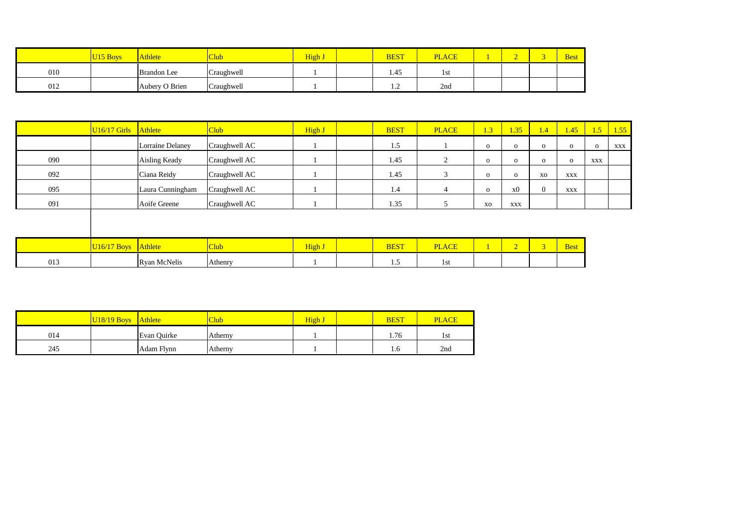|     | Athlete            | Club       | High. | <b>BEST</b> | <b>PLACE</b> |  | <b>Best</b> |
|-----|--------------------|------------|-------|-------------|--------------|--|-------------|
| 010 | <b>Brandon</b> Lee | Craughwell |       | 1.45        | 1st          |  |             |
| 012 | Aubery O Brien     | Craughwell |       | $\cdot$     | 2nd          |  |             |

| 1.5<br>Lorraine Delaney<br>Craughwell AC<br>$\mathbf{o}$<br>$\mathbf{o}$<br>090<br>1.45<br>Aisling Keady<br>Craughwell AC<br>$\overline{2}$<br>$\mathbf{O}$<br>$\mathbf{o}$<br>092<br>1.45<br>Ciana Reidy<br>Craughwell AC<br>$\mathbf{o}$<br>$\mathbf{o}$<br>095<br>Laura Cunningham<br>Craughwell AC<br>1.4<br>4 | 1.4            | 1.35 | 1.45/        | 1.5          | 1.55 |
|--------------------------------------------------------------------------------------------------------------------------------------------------------------------------------------------------------------------------------------------------------------------------------------------------------------------|----------------|------|--------------|--------------|------|
|                                                                                                                                                                                                                                                                                                                    | $\mathbf{o}$   |      | $\mathbf{o}$ | $\mathbf{o}$ | XXX  |
|                                                                                                                                                                                                                                                                                                                    | $\mathbf{O}$   |      | $\mathbf{o}$ | XXX          |      |
|                                                                                                                                                                                                                                                                                                                    | XO             |      | XXX          |              |      |
| $\mathbf{O}$                                                                                                                                                                                                                                                                                                       | $\overline{0}$ | x0   | <b>XXX</b>   |              |      |
| 091<br>Aoife Greene<br>1.35<br>Craughwell AC<br>XO<br>XXX                                                                                                                                                                                                                                                          |                |      |              |              |      |
|                                                                                                                                                                                                                                                                                                                    |                |      |              |              |      |
|                                                                                                                                                                                                                                                                                                                    |                |      |              |              |      |
| High J<br>Athlete<br>2 <sup>1</sup><br>Club<br><b>BEST</b><br><b>PLACE</b><br>$U16/17$ Boys                                                                                                                                                                                                                        | 3 <sup>7</sup> |      | <b>Best</b>  |              |      |

| 013 | .<br>ەت ب<br>McNeli | Athenry |  | . | . . |  |  |
|-----|---------------------|---------|--|---|-----|--|--|
|     |                     |         |  |   |     |  |  |
|     |                     |         |  |   |     |  |  |

|     | $U18/19$ Boys | <b>Athlete</b> | Club    | High | <b>BEST</b> | <b>PLACE</b> |
|-----|---------------|----------------|---------|------|-------------|--------------|
| 014 |               | Evan Ouirke    | Atherny |      | 1.76        | 1st          |
| 245 |               | Adam Flynn     | Atherny |      | 1.0         | 2nd          |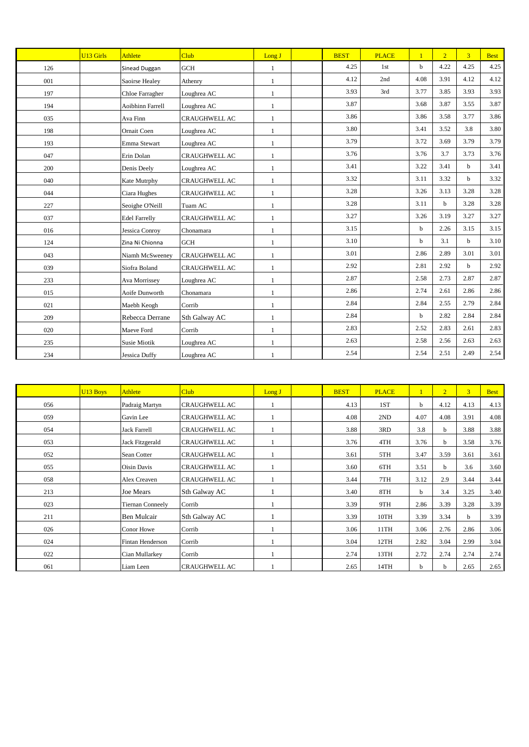|     | U <sub>13</sub> Girls | Athlete              | Club                 | Long J       | <b>BEST</b> | <b>PLACE</b>    | $\mathbf{1}$ | 2 <sup>7</sup> | 3 <sup>1</sup> | <b>Best</b> |
|-----|-----------------------|----------------------|----------------------|--------------|-------------|-----------------|--------------|----------------|----------------|-------------|
| 126 |                       | Sinead Duggan        | <b>GCH</b>           | $\mathbf{1}$ | 4.25        | 1 <sub>st</sub> | $\mathbf b$  | 4.22           | 4.25           | 4.25        |
| 001 |                       | Saoirse Healey       | Athenry              | 1            | 4.12        | 2nd             | 4.08         | 3.91           | 4.12           | 4.12        |
| 197 |                       | Chloe Farragher      | Loughrea AC          | $\mathbf{1}$ | 3.93        | 3rd             | 3.77         | 3.85           | 3.93           | 3.93        |
| 194 |                       | Aoibhinn Farrell     | Loughrea AC          | $\mathbf{1}$ | 3.87        |                 | 3.68         | 3.87           | 3.55           | 3.87        |
| 035 |                       | Ava Finn             | <b>CRAUGHWELL AC</b> | $\mathbf{1}$ | 3.86        |                 | 3.86         | 3.58           | 3.77           | 3.86        |
| 198 |                       | Ornait Coen          | Loughrea AC          | 1            | 3.80        |                 | 3.41         | 3.52           | 3.8            | 3.80        |
| 193 |                       | Emma Stewart         | Loughrea AC          | $\mathbf{1}$ | 3.79        |                 | 3.72         | 3.69           | 3.79           | 3.79        |
| 047 |                       | Erin Dolan           | <b>CRAUGHWELL AC</b> | $\mathbf{1}$ | 3.76        |                 | 3.76         | 3.7            | 3.73           | 3.76        |
| 200 |                       | Denis Deely          | Loughrea AC          | $\mathbf{1}$ | 3.41        |                 | 3.22         | 3.41           | $\mathbf b$    | 3.41        |
| 040 |                       | Kate Mutrphy         | <b>CRAUGHWELL AC</b> | $\mathbf{1}$ | 3.32        |                 | 3.11         | 3.32           | $\mathbf b$    | 3.32        |
| 044 |                       | Ciara Hughes         | <b>CRAUGHWELL AC</b> | $\mathbf{1}$ | 3.28        |                 | 3.26         | 3.13           | 3.28           | 3.28        |
| 227 |                       | Seoighe O'Neill      | Tuam AC              | $\mathbf{1}$ | 3.28        |                 | 3.11         | $\mathbf b$    | 3.28           | 3.28        |
| 037 |                       | <b>Edel Farrelly</b> | <b>CRAUGHWELL AC</b> | $\mathbf{1}$ | 3.27        |                 | 3.26         | 3.19           | 3.27           | 3.27        |
| 016 |                       | Jessica Conroy       | Chonamara            | $\mathbf{1}$ | 3.15        |                 | $\mathbf b$  | 2.26           | 3.15           | 3.15        |
| 124 |                       | Zina Ni Chionna      | <b>GCH</b>           | 1            | 3.10        |                 | $\mathbf b$  | 3.1            | b              | 3.10        |
| 043 |                       | Niamh McSweeney      | <b>CRAUGHWELL AC</b> | $\mathbf{1}$ | 3.01        |                 | 2.86         | 2.89           | 3.01           | 3.01        |
| 039 |                       | Siofra Boland        | CRAUGHWELL AC        | $\mathbf{1}$ | 2.92        |                 | 2.81         | 2.92           | b              | 2.92        |
| 233 |                       | Ava Morrissey        | Loughrea AC          | $\mathbf{1}$ | 2.87        |                 | 2.58         | 2.73           | 2.87           | 2.87        |
| 015 |                       | Aoife Dunworth       | Chonamara            | $\mathbf{1}$ | 2.86        |                 | 2.74         | 2.61           | 2.86           | 2.86        |
| 021 |                       | Maebh Keogh          | Corrib               | 1            | 2.84        |                 | 2.84         | 2.55           | 2.79           | 2.84        |
| 209 |                       | Rebecca Derrane      | Sth Galway AC        | $\mathbf{1}$ | 2.84        |                 | $\mathbf b$  | 2.82           | 2.84           | 2.84        |
| 020 |                       | Maeve Ford           | Corrib               | 1            | 2.83        |                 | 2.52         | 2.83           | 2.61           | 2.83        |
| 235 |                       | <b>Susie Miotik</b>  | Loughrea AC          | 1            | 2.63        |                 | 2.58         | 2.56           | 2.63           | 2.63        |
| 234 |                       | <b>Jessica Duffy</b> | Loughrea AC          |              | 2.54        |                 | 2.54         | 2.51           | 2.49           | 2.54        |

|     | U <sub>13</sub> Boys | <b>Athlete</b>          | <b>Club</b>          | Long J | <b>BEST</b> | <b>PLACE</b> |      | $\overline{2}$ | $\overline{3}$ | <b>Best</b> |
|-----|----------------------|-------------------------|----------------------|--------|-------------|--------------|------|----------------|----------------|-------------|
| 056 |                      | Padraig Martyn          | <b>CRAUGHWELL AC</b> |        | 4.13        | 1ST          | b    | 4.12           | 4.13           | 4.13        |
| 059 |                      | Gavin Lee               | <b>CRAUGHWELL AC</b> |        | 4.08        | 2ND          | 4.07 | 4.08           | 3.91           | 4.08        |
| 054 |                      | <b>Jack Farrell</b>     | <b>CRAUGHWELL AC</b> |        | 3.88        | 3RD          | 3.8  | b              | 3.88           | 3.88        |
| 053 |                      | Jack Fitzgerald         | <b>CRAUGHWELL AC</b> |        | 3.76        | 4TH          | 3.76 | b              | 3.58           | 3.76        |
| 052 |                      | Sean Cotter             | <b>CRAUGHWELL AC</b> |        | 3.61        | 5TH          | 3.47 | 3.59           | 3.61           | 3.61        |
| 055 |                      | Oisin Davis             | <b>CRAUGHWELL AC</b> |        | 3.60        | 6TH          | 3.51 | <sub>b</sub>   | 3.6            | 3.60        |
| 058 |                      | Alex Creaven            | <b>CRAUGHWELL AC</b> |        | 3.44        | 7TH          | 3.12 | 2.9            | 3.44           | 3.44        |
| 213 |                      | Joe Mears               | Sth Galway AC        |        | 3.40        | 8TH          | b    | 3.4            | 3.25           | 3.40        |
| 023 |                      | <b>Tiernan Conneely</b> | Corrib               |        | 3.39        | 9TH          | 2.86 | 3.39           | 3.28           | 3.39        |
| 211 |                      | Ben Mulcair             | Sth Galway AC        |        | 3.39        | 10TH         | 3.39 | 3.34           | b              | 3.39        |
| 026 |                      | Conor Howe              | Corrib               |        | 3.06        | 11TH         | 3.06 | 2.76           | 2.86           | 3.06        |
| 024 |                      | Fintan Henderson        | Corrib               |        | 3.04        | 12TH         | 2.82 | 3.04           | 2.99           | 3.04        |
| 022 |                      | Cian Mullarkey          | Corrib               |        | 2.74        | 13TH         | 2.72 | 2.74           | 2.74           | 2.74        |
| 061 |                      | Liam Leen               | <b>CRAUGHWELL AC</b> |        | 2.65        | 14TH         | b    | b              | 2.65           | 2.65        |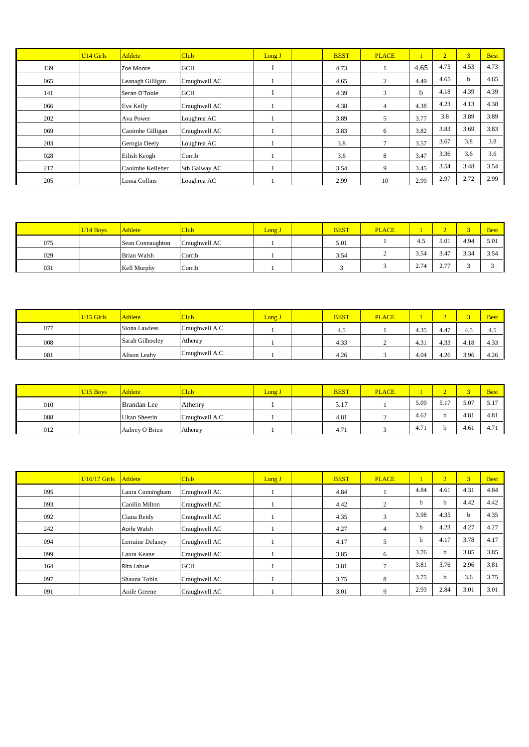|     | <b>U14 Girls</b> | Athlete          | <b>Club</b>   | Long J | <b>BEST</b> | <b>PLACE</b> |      | $\overline{2}$ | $\overline{3}$ | <b>Best</b> |
|-----|------------------|------------------|---------------|--------|-------------|--------------|------|----------------|----------------|-------------|
| 139 |                  | Zoe Moore        | <b>GCH</b>    |        | 4.73        |              | 4.65 | 4.73           | 4.53           | 4.73        |
| 065 |                  | Leanagh Gilligan | Craughwell AC |        | 4.65        | 2            | 4.49 | 4.65           | b              | 4.65        |
| 141 |                  | Seran O'Toole    | <b>GCH</b>    |        | 4.39        | 3            | b    | 4.18           | 4.39           | 4.39        |
| 066 |                  | Eva Kelly        | Craughwell AC |        | 4.38        | 4            | 4.38 | 4.23           | 4.13           | 4.38        |
| 202 |                  | Ava Power        | Loughrea AC   |        | 3.89        | 5            | 3.77 | 3.8            | 3.89           | 3.89        |
| 069 |                  | Caoimhe Gilligan | Craughwell AC |        | 3.83        | 6            | 3.82 | 3.83           | 3.69           | 3.83        |
| 203 |                  | Gerogia Deely    | Loughrea AC   |        | 3.8         | 7            | 3.57 | 3.67           | 3.8            | 3.8         |
| 028 |                  | Eilish Keogh     | Corrib        |        | 3.6         | 8            | 3.47 | 3.36           | 3.6            | 3.6         |
| 217 |                  | Caoimhe Kelleher | Sth Galway AC |        | 3.54        | 9            | 3.45 | 3.54           | 3.48           | 3.54        |
| 205 |                  | Loma Collins     | Loughrea AC   |        | 2.99        | 10           | 2.99 | 2.97           | 2.72           | 2.99        |

|     | <b>U14 Boys</b> | <b>Athlete</b>     | Club          | Long J | <b>BEST</b> | <b>PLACE</b> |      | -                     |            | <b>Best</b> |
|-----|-----------------|--------------------|---------------|--------|-------------|--------------|------|-----------------------|------------|-------------|
| 075 |                 | Sean Connaughton   | Craughwell AC |        | 5.01        |              | 4.5  | 5.01                  | 4.94       | 5.01        |
| 029 |                 | <b>Brian Walsh</b> | Corrib        |        | 3.54        |              | 3.54 | 3.47                  | 3.34<br>ັ້ | 3.54        |
| 031 |                 | Kell Murphy        | Corrib        |        |             |              | 2.74 | $\overline{a}$<br>ر . |            |             |

|     | <b>U15 Girls</b> | <b>Athlete</b>  | Club            | Long J | <b>BEST</b> | <b>PLACE</b> |      | -    |                     | <b>Best</b> |
|-----|------------------|-----------------|-----------------|--------|-------------|--------------|------|------|---------------------|-------------|
| 077 |                  | Siona Lawless   | Craughwell A.C. |        | 4.5         |              | 4.35 | 4.47 | ت +                 | 4.5         |
| 008 |                  | Sarah Gilhoolev | Athenry         |        | 4.33        |              | 4.3  | 4.33 | <b>10</b><br>+. 1 0 | 4.33        |
| 081 |                  | Alison Leahy    | Craughwell A.C. |        | 4.26        |              | 4.04 | 4.26 | 3.96                | 4.26        |

|     | U <sub>15</sub> Boys | <b>Athlete</b>     | <b>Club</b>     | Long J | <b>BEST</b> | <b>PLACE</b> |      |           |      | <b>Best</b>      |
|-----|----------------------|--------------------|-----------------|--------|-------------|--------------|------|-----------|------|------------------|
| 010 |                      | <b>Brandan</b> Lee | Athenry         |        | 5.17        |              | 5.09 | $-1$<br>. | 5.07 | 5.17             |
| 088 |                      | Ultan Sheerin      | Craughwell A.C. |        | 4.81        |              | 4.62 |           | 4.81 | 4.81             |
| 012 |                      | Aubrey O Brien     | Athenry         |        | 4.7         |              | 4.71 |           | 4.61 | 4.7 <sub>1</sub> |

|     | $U16/17$ Girls | <b>Athlete</b>   | Club          | Long J | <b>BEST</b> | <b>PLACE</b>   |      | $\overline{2}$ | 3 <sup>1</sup> | <b>Best</b> |
|-----|----------------|------------------|---------------|--------|-------------|----------------|------|----------------|----------------|-------------|
| 095 |                | Laura Cunningham | Craughwell AC |        | 4.84        |                | 4.84 | 4.61           | 4.31           | 4.84        |
| 093 |                | Caoilin Milton   | Craughwell AC |        | 4.42        | $\overline{c}$ | h.   | h.             | 4.42           | 4.42        |
| 092 |                | Ciana Reidy      | Craughwell AC |        | 4.35        | 3              | 3.98 | 4.35           | h.             | 4.35        |
| 242 |                | Aoife Walsh      | Craughwell AC |        | 4.27        | $\overline{4}$ | b    | 4.23           | 4.27           | 4.27        |
| 094 |                | Lorraine Delaney | Craughwell AC |        | 4.17        |                | b.   | 4.17           | 3.78           | 4.17        |
| 099 |                | Laura Keane      | Craughwell AC |        | 3.85        | 6              | 3.76 | <sub>b</sub>   | 3.85           | 3.85        |
| 164 |                | Rita Lahue       | <b>GCH</b>    |        | 3.81        |                | 3.81 | 3.76           | 2.96           | 3.81        |
| 097 |                | Shauna Tobin     | Craughwell AC |        | 3.75        | 8              | 3.75 | h              | 3.6            | 3.75        |
| 091 |                | Aoife Greene     | Craughwell AC |        | 3.01        |                | 2.93 | 2.84           | 3.01           | 3.01        |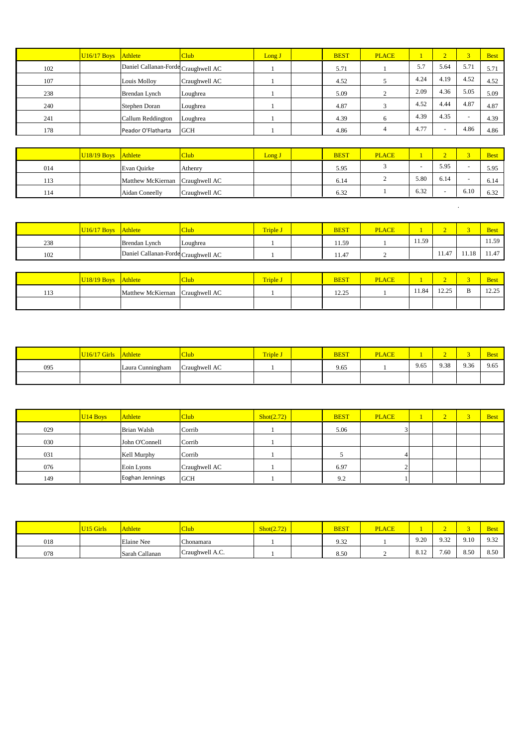|     | $U16/17$ Boys Athlete |                                     | <b>Club</b>   | Long J          | <b>BEST</b> | <b>PLACE</b>   | $\mathbf{1}$ | $\overline{2}$           | 3 <sup>1</sup> | <b>Best</b> |
|-----|-----------------------|-------------------------------------|---------------|-----------------|-------------|----------------|--------------|--------------------------|----------------|-------------|
| 102 |                       | Daniel Callanan-Forde Craughwell AC |               |                 | 5.71        |                | 5.7          | 5.64                     | 5.71           | 5.71        |
| 107 |                       | Louis Molloy                        | Craughwell AC |                 | 4.52        | 5              | 4.24         | 4.19                     | 4.52           | 4.52        |
| 238 |                       | Brendan Lynch                       | Loughrea      |                 | 5.09        | 2              | 2.09         | 4.36                     | 5.05           | 5.09        |
| 240 |                       | Stephen Doran                       | Loughrea      |                 | 4.87        | 3              | 4.52         | 4.44                     | 4.87           | 4.87        |
| 241 |                       | Callum Reddington                   | Loughrea      |                 | 4.39        | 6              | 4.39         | 4.35                     | $\sim$         | 4.39        |
| 178 |                       | Peador O'Flatharta                  | <b>GCH</b>    |                 | 4.86        | $\overline{4}$ | 4.77         | $\overline{\phantom{a}}$ | 4.86           | 4.86        |
|     |                       |                                     |               |                 |             |                |              |                          |                |             |
|     | <b>U18/19 Boys</b>    | <b>Athlete</b>                      | <b>Club</b>   | Long J          | <b>BEST</b> | <b>PLACE</b>   | $\mathbf{1}$ | $\overline{2}$           | 3 <sup>1</sup> | <b>Best</b> |
| 014 |                       | Evan Quirke                         | Athenry       |                 | 5.95        | 3              | $\sim$       | 5.95                     | $\sim$         | 5.95        |
| 113 |                       | Matthew McKiernan                   | Craughwell AC |                 | 6.14        | $\overline{c}$ | 5.80         | 6.14                     |                | 6.14        |
| 114 |                       | Aidan Coneelly                      | Craughwell AC |                 | 6.32        |                | 6.32         |                          | 6.10           | 6.32        |
|     |                       |                                     |               |                 |             |                |              |                          | $\cdot$        |             |
|     | <b>U16/17 Boys</b>    | Athlete                             | <b>Club</b>   | <b>Triple J</b> | <b>BEST</b> | <b>PLACE</b>   | $\mathbf{1}$ | $\overline{2}$           | 3 <sup>1</sup> | <b>Best</b> |
| 238 |                       | Brendan Lynch                       | Loughrea      |                 | 11.59       |                | 11.59        |                          |                | 11.59       |
|     |                       |                                     |               |                 |             |                |              |                          |                |             |

|            | U18/19 Boys Athlete |                                 | <b>Aub</b> | <b>Triple J</b> | <b>BEST</b>    | <b>PLACE</b> |       |                     | <b>Best</b>                                |
|------------|---------------------|---------------------------------|------------|-----------------|----------------|--------------|-------|---------------------|--------------------------------------------|
| 112<br>112 |                     | Matthew McKiernan Craughwell AC |            |                 | 12.25<br>ر ے د |              | 11.84 | 10.25<br>ل کے دیکھا | 10.25<br>12.29<br>the contract of the con- |
|            |                     |                                 |            |                 |                |              |       |                     |                                            |

|     | <b>U16/17 Girls</b> | <b>Athlete</b>   | Club          | <b>Triple J</b> | <b>BEST</b> | <b>PLACE</b> |      | $\sim$ | $\sim$ | <b>Best</b> |
|-----|---------------------|------------------|---------------|-----------------|-------------|--------------|------|--------|--------|-------------|
| 095 |                     | Laura Cunningham | Craughwell AC |                 | 9.65        |              | 9.65 | 9.38   | 9.36   | 9.65        |
|     |                     |                  |               |                 |             |              |      |        |        |             |

|     | U <sub>14</sub> Boys | <b>Athlete</b>     | <b>Club</b>   | $\text{shot}(2.72)$ | <b>BEST</b> | <b>PLACE</b> |  | $\overline{\phantom{a}}$ | <b>Best</b> |
|-----|----------------------|--------------------|---------------|---------------------|-------------|--------------|--|--------------------------|-------------|
| 029 |                      | <b>Brian Walsh</b> | Corrib        |                     | 5.06        |              |  |                          |             |
| 030 |                      | John O'Connell     | Corrib        |                     |             |              |  |                          |             |
| 031 |                      | Kell Murphy        | Corrib        |                     |             |              |  |                          |             |
| 076 |                      | Eoin Lyons         | Craughwell AC |                     | 6.97        |              |  |                          |             |
| 149 |                      | Eoghan Jennings    | <b>GCH</b>    |                     | 9.2         |              |  |                          |             |

|     | V <sub>15</sub> Girls | <b>Athlete</b> | Club                | Shot(2.72) | <b>BEST</b> | <b>PLACE</b> |      |      |      | <b>Best</b> |
|-----|-----------------------|----------------|---------------------|------------|-------------|--------------|------|------|------|-------------|
| 018 |                       | Elaine Nee     | $\sim$<br>Chonamara |            | 9.32        |              | 9.20 | 0.32 | 9.10 | 9.32        |
| 078 |                       | Sarah Callanan | Craughwell A.C.     |            | 8.50        |              | 8.12 | 7.60 | 8.50 | 8.50        |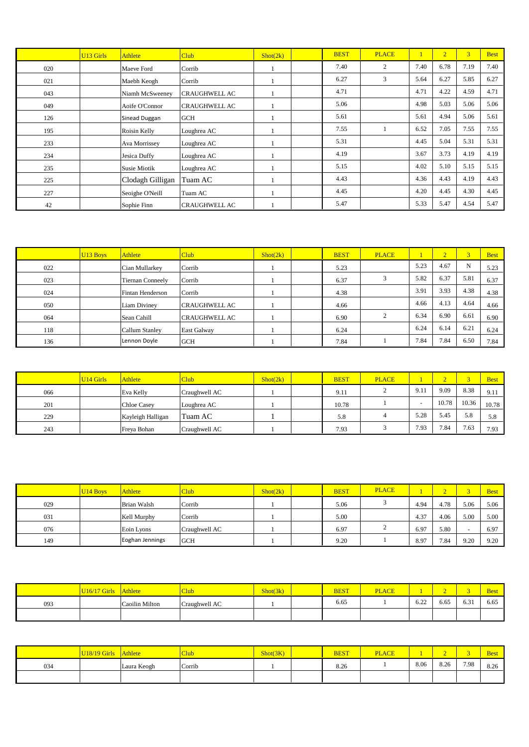|     | U <sub>13</sub> Girls | Athlete             | Club <sup>1</sup>    | $\text{Short}(2k)$ | <b>BEST</b> | <b>PLACE</b>   |      | $\overline{2}$ | 3    | <b>Best</b> |
|-----|-----------------------|---------------------|----------------------|--------------------|-------------|----------------|------|----------------|------|-------------|
| 020 |                       | Maeve Ford          | Corrib               |                    | 7.40        | $\overline{2}$ | 7.40 | 6.78           | 7.19 | 7.40        |
| 021 |                       | Maebh Keogh         | Corrib               |                    | 6.27        | 3              | 5.64 | 6.27           | 5.85 | 6.27        |
| 043 |                       | Niamh McSweenev     | <b>CRAUGHWELL AC</b> |                    | 4.71        |                | 4.71 | 4.22           | 4.59 | 4.71        |
| 049 |                       | Aoife O'Connor      | CRAUGHWELL AC        |                    | 5.06        |                | 4.98 | 5.03           | 5.06 | 5.06        |
| 126 |                       | Sinead Duggan       | <b>GCH</b>           |                    | 5.61        |                | 5.61 | 4.94           | 5.06 | 5.61        |
| 195 |                       | Roisin Kelly        | Loughrea AC          |                    | 7.55        |                | 6.52 | 7.05           | 7.55 | 7.55        |
| 233 |                       | Ava Morrissey       | Loughrea AC          |                    | 5.31        |                | 4.45 | 5.04           | 5.31 | 5.31        |
| 234 |                       | Jesica Duffy        | Loughrea AC          |                    | 4.19        |                | 3.67 | 3.73           | 4.19 | 4.19        |
| 235 |                       | <b>Susie Miotik</b> | Loughrea AC          |                    | 5.15        |                | 4.02 | 5.10           | 5.15 | 5.15        |
| 225 |                       | Clodagh Gilligan    | Tuam AC              |                    | 4.43        |                | 4.36 | 4.43           | 4.19 | 4.43        |
| 227 |                       | Seoighe O'Neill     | Tuam AC              |                    | 4.45        |                | 4.20 | 4.45           | 4.30 | 4.45        |
| 42  |                       | Sophie Finn         | <b>CRAUGHWELL AC</b> |                    | 5.47        |                | 5.33 | 5.47           | 4.54 | 5.47        |

|     | U <sub>13</sub> Boys | <b>Athlete</b>          | <b>Club</b>          | $\text{Short}(2k)$ | <b>BEST</b> | <b>PLACE</b> |      | $\overline{2}$ | $\overline{3}$ | <b>Best</b> |
|-----|----------------------|-------------------------|----------------------|--------------------|-------------|--------------|------|----------------|----------------|-------------|
| 022 |                      | Cian Mullarkey          | Corrib               |                    | 5.23        |              | 5.23 | 4.67           | N              | 5.23        |
| 023 |                      | <b>Tiernan Conneely</b> | Corrib               |                    | 6.37        |              | 5.82 | 6.37           | 5.81           | 6.37        |
| 024 |                      | <b>Fintan Henderson</b> | Corrib               |                    | 4.38        |              | 3.91 | 3.93           | 4.38           | 4.38        |
| 050 |                      | Liam Diviney            | <b>CRAUGHWELL AC</b> |                    | 4.66        |              | 4.66 | 4.13           | 4.64           | 4.66        |
| 064 |                      | Sean Cahill             | <b>CRAUGHWELL AC</b> |                    | 6.90        |              | 6.34 | 6.90           | 6.61           | 6.90        |
| 118 |                      | Callum Stanley          | East Galway          |                    | 6.24        |              | 6.24 | 6.14           | 6.21           | 6.24        |
| 136 |                      | Lennon Doyle            | <b>GCH</b>           |                    | 7.84        |              | 7.84 | 7.84           | 6.50           | 7.84        |

|     | <b>U14 Girls</b> | <b>Athlete</b>     | <b>Club</b>   | Short(2k) | <b>BEST</b> | <b>PLACE</b> |      |       |       | <b>Best</b> |
|-----|------------------|--------------------|---------------|-----------|-------------|--------------|------|-------|-------|-------------|
| 066 |                  | Eva Kelly          | Craughwell AC |           | 9.11        |              | 9.11 | 9.09  | 8.38  | 9.11        |
| 201 |                  | <b>Chloe Casev</b> | Loughrea AC   |           | 10.78       |              |      | 10.78 | 10.36 | 10.78       |
| 229 |                  | Kayleigh Halligan  | Tuam AC       |           | 5.8         |              | 5.28 | 5.45  | 5.8   | 5.8         |
| 243 |                  | Freya Bohan        | Craughwell AC |           | 7.93        |              | 7.93 | 7.84  | 7.63  | 7.93        |

|     | <b>U14 Boys</b> | <b>Athlete</b>     | <b>Club</b>   | Short(2k) | <b>BEST</b> | <b>PLACE</b> |      | $\overline{\phantom{a}}$ | ×    | <b>Best</b> |
|-----|-----------------|--------------------|---------------|-----------|-------------|--------------|------|--------------------------|------|-------------|
| 029 |                 | <b>Brian Walsh</b> | Corrib        |           | 5.06        |              | 4.94 | 4.78                     | 5.06 | 5.06        |
| 031 |                 | Kell Murphy        | Corrib        |           | 5.00        |              | 4.37 | 4.06                     | 5.00 | 5.00        |
| 076 |                 | Eoin Lyons         | Craughwell AC |           | 6.97        |              | 6.97 | 5.80                     |      | 6.97        |
| 149 |                 | Eoghan Jennings    | <b>GCH</b>    |           | 9.20        |              | 8.97 | 7.84                     | 9.20 | 9.20        |

|     | <b>U16/17 Girls</b> | <b>Athlete</b> | Club          | Shot(3k) | <b>BEST</b> | <b>PLACE</b> |      | $\sim$ | -                     | <b>Best</b> |
|-----|---------------------|----------------|---------------|----------|-------------|--------------|------|--------|-----------------------|-------------|
| 093 |                     | Caoilin Milton | Craughwell AC |          | 6.65        |              | 6.22 | 6.65   | $\sim$ $\sim$<br>0.31 | 6.65        |
|     |                     |                |               |          |             |              |      |        |                       |             |

|     | '19 Girls<br>U18/ | <b>Athlete</b> | <b>Club</b> | Shot(3K) | <b>BEST</b> | <b>PLACE</b> |      |      |      | <b>Best</b> |
|-----|-------------------|----------------|-------------|----------|-------------|--------------|------|------|------|-------------|
| 034 |                   | Laura Keogh    | Corrib      |          | 8.26        |              | 8.06 | 8.26 | 7.98 | 8.26        |
|     |                   |                |             |          |             |              |      |      |      |             |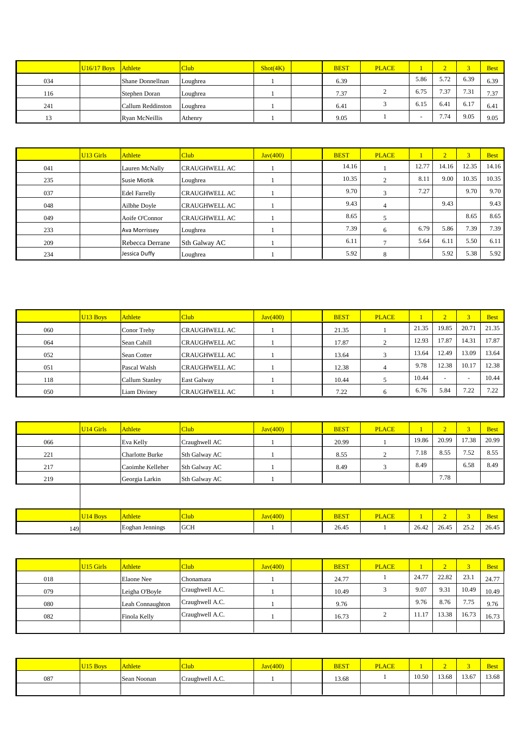|        | $U16/17$ Boys | Athlete           | Club     | Shot(4K) | <b>BEST</b> | <b>PLACE</b> |      | $\overline{\phantom{a}}$ |      | <b>Best</b> |
|--------|---------------|-------------------|----------|----------|-------------|--------------|------|--------------------------|------|-------------|
| 034    |               | Shane Donnellnan  | Loughrea |          | 6.39        |              | 5.86 | 5.72                     | 6.39 | 6.39        |
| 116    |               | Stephen Doran     | Loughrea |          | 7.37        |              | 6.75 | 7.37                     | 7.31 | 7.37        |
| 241    |               | Callum Reddinston | Loughrea |          | 6.41        |              | 6.15 | 6.41                     | 6.17 | 6.41        |
| $\sim$ |               | Ryan McNeillis    | Athenry  |          | 9.05        |              |      | 7.74                     | 9.05 | 9.05        |

|     | U <sub>13</sub> Girls | <b>Athlete</b>       | Club                 | Java(400) | <b>BEST</b> | <b>PLACE</b>  |       | $\overline{2}$ | $\overline{3}$ | <b>Best</b> |
|-----|-----------------------|----------------------|----------------------|-----------|-------------|---------------|-------|----------------|----------------|-------------|
| 041 |                       | Lauren McNally       | <b>CRAUGHWELL AC</b> |           | 14.16       |               | 12.77 | 14.16          | 12.35          | 14.16       |
| 235 |                       | <b>Susie Miotik</b>  | Loughrea             |           | 10.35       | $\mathcal{L}$ | 8.11  | 9.00           | 10.35          | 10.35       |
| 037 |                       | <b>Edel Farrelly</b> | <b>CRAUGHWELL AC</b> |           | 9.70        | 3             | 7.27  |                | 9.70           | 9.70        |
| 048 |                       | Ailbhe Doyle         | <b>CRAUGHWELL AC</b> |           | 9.43        | 4             |       | 9.43           |                | 9.43        |
| 049 |                       | Aoife O'Connor       | <b>CRAUGHWELL AC</b> |           | 8.65        | 5             |       |                | 8.65           | 8.65        |
| 233 |                       | Ava Morrissey        | Loughrea             |           | 7.39        | 6             | 6.79  | 5.86           | 7.39           | 7.39        |
| 209 |                       | Rebecca Derrane      | Sth Galway AC        |           | 6.11        |               | 5.64  | 6.11           | 5.50           | 6.11        |
| 234 |                       | Jessica Duffy        | Loughrea             |           | 5.92        | 8             |       | 5.92           | 5.38           | 5.92        |

|     | U <sub>13</sub> Boys | Athlete        | <b>Club</b>          | Java(400) | <b>BEST</b> | <b>PLACE</b> |       | $\overline{2}$           |       | <b>Best</b> |
|-----|----------------------|----------------|----------------------|-----------|-------------|--------------|-------|--------------------------|-------|-------------|
| 060 |                      | Conor Trehy    | <b>CRAUGHWELL AC</b> |           | 21.35       |              | 21.35 | 19.85                    | 20.71 | 21.35       |
| 064 |                      | Sean Cahill    | <b>CRAUGHWELL AC</b> |           | 17.87       |              | 12.93 | 17.87                    | 14.31 | 17.87       |
| 052 |                      | Sean Cotter    | <b>CRAUGHWELL AC</b> |           | 13.64       |              | 13.64 | 12.49                    | 13.09 | 13.64       |
| 051 |                      | Pascal Walsh   | <b>CRAUGHWELL AC</b> |           | 12.38       |              | 9.78  | 12.38                    | 10.17 | 12.38       |
| 118 |                      | Callum Stanley | East Galway          |           | 10.44       |              | 10.44 | $\overline{\phantom{0}}$ |       | 10.44       |
| 050 |                      | Liam Diviney   | CRAUGHWELL AC        |           | 7.22        | h            | 6.76  | 5.84                     | 7.22  | 7.22        |

|     | U <sub>14</sub> Girls | Athlete                | <b>Club</b>   | Java(400) | <b>BEST</b> | <b>PLACE</b> |       | $\overline{2}$ | 3 <sup>1</sup> | <b>Best</b> |
|-----|-----------------------|------------------------|---------------|-----------|-------------|--------------|-------|----------------|----------------|-------------|
| 066 |                       | Eva Kelly              | Craughwell AC |           | 20.99       |              | 19.86 | 20.99          | 17.38          | 20.99       |
| 221 |                       | <b>Charlotte Burke</b> | Sth Galway AC |           | 8.55        | $\bigcap$    | 7.18  | 8.55           | 7.52           | 8.55        |
| 217 |                       | Caoimhe Kelleher       | Sth Galway AC |           | 8.49        | 3            | 8.49  |                | 6.58           | 8.49        |
| 219 |                       | Georgia Larkin         | Sth Galway AC |           |             |              |       | 7.78           |                |             |
|     |                       |                        |               |           |             |              |       |                |                |             |
|     |                       |                        |               |           |             |              |       |                |                |             |
|     | U <sub>14</sub> Boys  | <b>Athlete</b>         | <b>Club</b>   | Java(400) | <b>BEST</b> | <b>PLACE</b> |       | $\overline{2}$ | $\overline{3}$ | <b>Best</b> |
| 149 |                       | Eoghan Jennings        | <b>GCH</b>    |           | 26.45       |              | 26.42 | 26.45          | 25.2           | 26.45       |

|     | <b>U15 Girls</b> | <b>Athlete</b>   | <b>Club</b>     | Java(400) | <b>BEST</b> | <b>PLACE</b> |       | ~     | ್     | <b>Best</b> |
|-----|------------------|------------------|-----------------|-----------|-------------|--------------|-------|-------|-------|-------------|
| 018 |                  | Elaone Nee       | Chonamara       |           | 24.77       |              | 24.77 | 22.82 | 23.1  | 24.77       |
| 079 |                  | Leigha O'Boyle   | Craughwell A.C. |           | 10.49       |              | 9.07  | 9.31  | 10.49 | 10.49       |
| 080 |                  | Leah Connaughton | Craughwell A.C. |           | 9.76        |              | 9.76  | 8.76  | 7.75  | 9.76        |
| 082 |                  | Finola Kelly     | Craughwell A.C. |           | 16.73       |              | 11.17 | 13.38 | 16.73 | 16.73       |
|     |                  |                  |                 |           |             |              |       |       |       |             |

|     | 5 Boys | Athlete     | <b>Club</b>     | Jav(400) | <b>BEST</b> | <b>PLACE</b> |       |       |       | <b>Best</b> |
|-----|--------|-------------|-----------------|----------|-------------|--------------|-------|-------|-------|-------------|
| 087 |        | Sean Noonan | Craughwell A.C. |          | 13.68       |              | 10.50 | 13.68 | 13.67 | 13.68       |
|     |        |             |                 |          |             |              |       |       |       |             |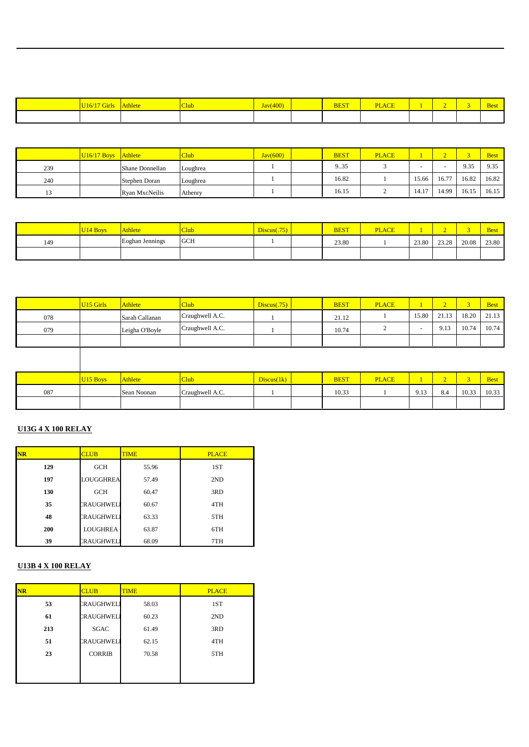| <u>JI6/I/G11IS</u> | Athlete | <b>Club</b> | $\sqrt{400}$<br>J <sub>av</sub><br><del>y</del> v | <b>BEST</b> | <b>PLACE</b> |  | <b>Best</b> |
|--------------------|---------|-------------|---------------------------------------------------|-------------|--------------|--|-------------|
|                    |         |             |                                                   |             |              |  |             |

|     | $U16/17$ Boys | Athlete         | <b>Club</b> | Jav(600) | <b>BEST</b> | <b>PLACE</b> |       |       |       | <b>Best</b> |
|-----|---------------|-----------------|-------------|----------|-------------|--------------|-------|-------|-------|-------------|
| 239 |               | Shane Donnellan | Loughrea    |          | 9.35        |              |       |       | 9.35  | 9.35        |
| 240 |               | Stephen Doran   | Loughrea    |          | 16.82       |              | 15.66 | 16.77 | 16.82 | 16.82       |
| 1J  |               | Ryan MxcNeilis  | Athenry     |          | 16.15       |              | 14.17 | 4.99ء | 16.15 | 16.15       |

|     | <b>Boy</b> | <b>Athlete</b>         | `lub.      | $\log_{10}(75)$ | <b>BEST</b> | <b>PLACE</b> |       |       |       | Best  |
|-----|------------|------------------------|------------|-----------------|-------------|--------------|-------|-------|-------|-------|
| 149 |            | <b>Eoghan Jennings</b> | <b>GCH</b> |                 | 23.80       |              | 23.80 | 23.28 | 20.08 | 23.80 |
|     |            |                        |            |                 |             |              |       |       |       |       |

|     | <b>U15 Girls</b> | <b>Athlete</b> | Club            | Discus(.75) | <b>BEST</b> | <b>PLACE</b> |       |                  |       | <b>Best</b> |
|-----|------------------|----------------|-----------------|-------------|-------------|--------------|-------|------------------|-------|-------------|
| 078 |                  | Sarah Callanan | Craughwell A.C. |             | 21.12       |              | 15.80 | 2113<br>$\sim$ 1 | 18.20 | 21.13       |
| 079 |                  | Leigha O'Boyle | Craughwell A.C. |             | 10.74       |              |       | 9.13             | 10.74 | 10.74       |
|     |                  |                |                 |             |             |              |       |                  |       |             |

|     | <b>J15 Boys</b> | Athlete     | L'Iub           | Discus(1k) | <b>BEST</b> | <b>PLACE</b> |      |     |       | <b>Best</b> |
|-----|-----------------|-------------|-----------------|------------|-------------|--------------|------|-----|-------|-------------|
| 087 |                 | Sean Noonan | Craughwell A.C. |            | 10.33       |              | 9.13 | 8.4 | 10.33 | 10.33       |
|     |                 |             |                 |            |             |              |      |     |       |             |

## **U13G 4 X 100 RELAY**

| <b>NR</b> | <b>CLUB</b>      | <b>TIME</b> | <b>PLACE</b> |
|-----------|------------------|-------------|--------------|
| 129       | <b>GCH</b>       | 55.96       | 1ST          |
| 197       | LOUGGHREA        | 57.49       | 2ND          |
| 130       | <b>GCH</b>       | 60.47       | 3RD          |
| 35        | CRAUGHWEL        | 60.67       | 4TH          |
| 48        | CRAUGHWEL        | 63.33       | 5TH          |
| 200       | LOUGHREA         | 63.87       | 6TH          |
| 39        | <b>CRAUGHWEL</b> | 68.09       | 7TH          |

#### **U13B 4 X 100 RELAY**

| <b>NR</b> | <b>CLUB</b>      | <b>TIME</b> | <b>PLACE</b> |
|-----------|------------------|-------------|--------------|
| 53        | <b>CRAUGHWEL</b> | 58.03       | 1ST          |
| 61        | <b>CRAUGHWEL</b> | 60.23       | 2ND          |
| 213       | <b>SGAC</b>      | 61.49       | 3RD          |
| 51        | CRAUGHWEL        | 62.15       | 4TH          |
| 23        | <b>CORRIB</b>    | 70.58       | 5TH          |
|           |                  |             |              |
|           |                  |             |              |